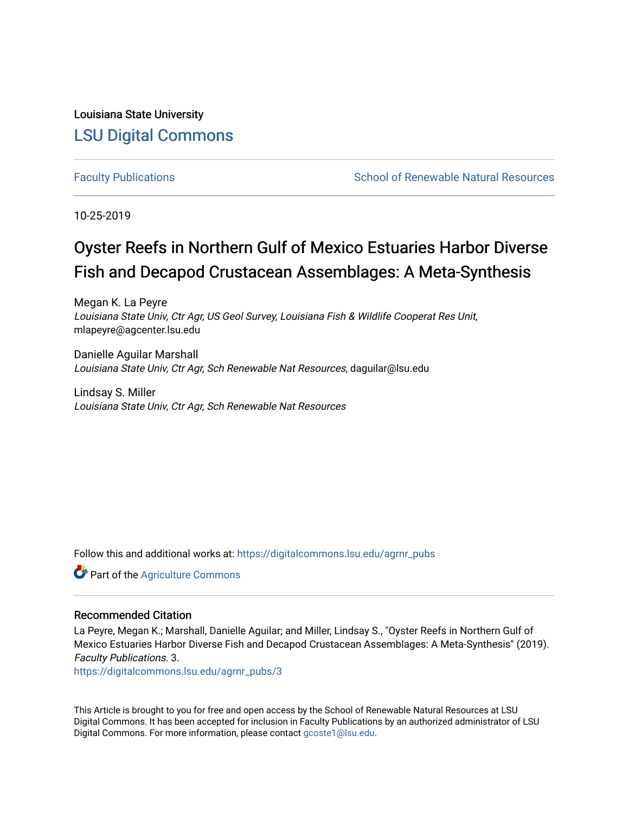Louisiana State University [LSU Digital Commons](https://digitalcommons.lsu.edu/)

[Faculty Publications](https://digitalcommons.lsu.edu/agrnr_pubs) **School of Renewable Natural Resources** School of Renewable Natural Resources

10-25-2019

# Oyster Reefs in Northern Gulf of Mexico Estuaries Harbor Diverse Fish and Decapod Crustacean Assemblages: A Meta-Synthesis

Megan K. La Peyre Louisiana State Univ, Ctr Agr, US Geol Survey, Louisiana Fish & Wildlife Cooperat Res Unit, mlapeyre@agcenter.lsu.edu

Danielle Aguilar Marshall Louisiana State Univ, Ctr Agr, Sch Renewable Nat Resources, daguilar@lsu.edu

Lindsay S. Miller Louisiana State Univ, Ctr Agr, Sch Renewable Nat Resources

Follow this and additional works at: [https://digitalcommons.lsu.edu/agrnr\\_pubs](https://digitalcommons.lsu.edu/agrnr_pubs?utm_source=digitalcommons.lsu.edu%2Fagrnr_pubs%2F3&utm_medium=PDF&utm_campaign=PDFCoverPages) 

Part of the [Agriculture Commons](http://network.bepress.com/hgg/discipline/1076?utm_source=digitalcommons.lsu.edu%2Fagrnr_pubs%2F3&utm_medium=PDF&utm_campaign=PDFCoverPages)

#### Recommended Citation

La Peyre, Megan K.; Marshall, Danielle Aguilar; and Miller, Lindsay S., "Oyster Reefs in Northern Gulf of Mexico Estuaries Harbor Diverse Fish and Decapod Crustacean Assemblages: A Meta-Synthesis" (2019). Faculty Publications. 3.

[https://digitalcommons.lsu.edu/agrnr\\_pubs/3](https://digitalcommons.lsu.edu/agrnr_pubs/3?utm_source=digitalcommons.lsu.edu%2Fagrnr_pubs%2F3&utm_medium=PDF&utm_campaign=PDFCoverPages) 

This Article is brought to you for free and open access by the School of Renewable Natural Resources at LSU Digital Commons. It has been accepted for inclusion in Faculty Publications by an authorized administrator of LSU Digital Commons. For more information, please contact [gcoste1@lsu.edu.](mailto:gcoste1@lsu.edu)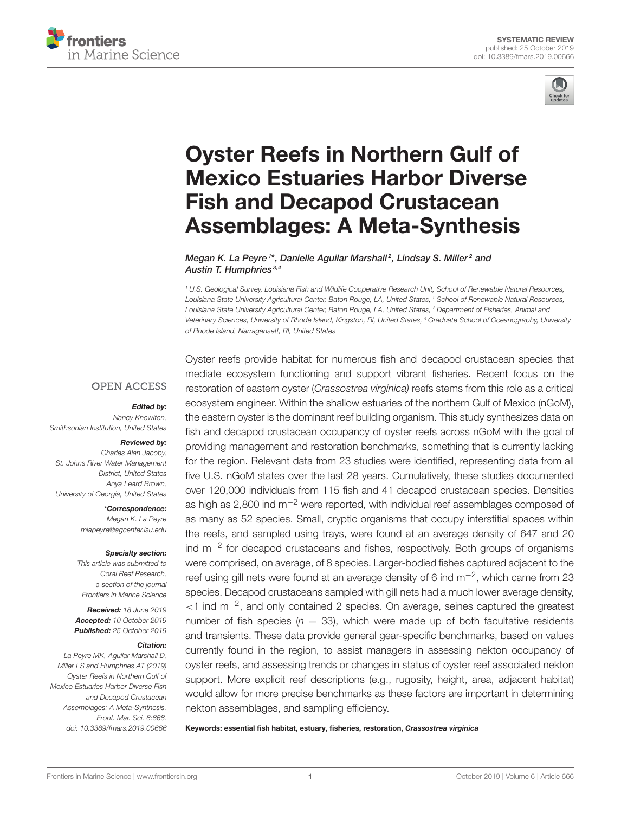



# Oyster Reefs in Northern Gulf of [Mexico Estuaries Harbor Diverse](https://www.frontiersin.org/articles/10.3389/fmars.2019.00666/full) Fish and Decapod Crustacean Assemblages: A Meta-Synthesis

[Megan K. La Peyre](http://loop.frontiersin.org/people/754534/overview) <sup>1\*</sup>, [Danielle Aguilar Marshall](http://loop.frontiersin.org/people/755284/overview)<sup>2</sup>, [Lindsay S. Miller](http://loop.frontiersin.org/people/759119/overview)<sup>2</sup> and [Austin T. Humphries](http://loop.frontiersin.org/people/284023/overview)<sup>3,4</sup>

*<sup>1</sup> U.S. Geological Survey, Louisiana Fish and Wildlife Cooperative Research Unit, School of Renewable Natural Resources, Louisiana State University Agricultural Center, Baton Rouge, LA, United States, <sup>2</sup> School of Renewable Natural Resources, Louisiana State University Agricultural Center, Baton Rouge, LA, United States, <sup>3</sup> Department of Fisheries, Animal and Veterinary Sciences, University of Rhode Island, Kingston, RI, United States, <sup>4</sup> Graduate School of Oceanography, University of Rhode Island, Narragansett, RI, United States*

#### **OPEN ACCESS**

#### Edited by:

*Nancy Knowlton, Smithsonian Institution, United States*

#### Reviewed by:

*Charles Alan Jacoby, St. Johns River Water Management District, United States Anya Leard Brown, University of Georgia, United States*

> \*Correspondence: *Megan K. La Peyre [mlapeyre@agcenter.lsu.edu](mailto:mlapeyre@agcenter.lsu.edu)*

#### Specialty section:

*This article was submitted to Coral Reef Research, a section of the journal Frontiers in Marine Science*

Received: *18 June 2019* Accepted: *10 October 2019* Published: *25 October 2019*

#### Citation:

*La Peyre MK, Aguilar Marshall D, Miller LS and Humphries AT (2019) Oyster Reefs in Northern Gulf of Mexico Estuaries Harbor Diverse Fish and Decapod Crustacean Assemblages: A Meta-Synthesis. Front. Mar. Sci. 6:666. doi: [10.3389/fmars.2019.00666](https://doi.org/10.3389/fmars.2019.00666)* Oyster reefs provide habitat for numerous fish and decapod crustacean species that mediate ecosystem functioning and support vibrant fisheries. Recent focus on the restoration of eastern oyster (*Crassostrea virginica)* reefs stems from this role as a critical ecosystem engineer. Within the shallow estuaries of the northern Gulf of Mexico (nGoM), the eastern oyster is the dominant reef building organism. This study synthesizes data on fish and decapod crustacean occupancy of oyster reefs across nGoM with the goal of providing management and restoration benchmarks, something that is currently lacking for the region. Relevant data from 23 studies were identified, representing data from all five U.S. nGoM states over the last 28 years. Cumulatively, these studies documented over 120,000 individuals from 115 fish and 41 decapod crustacean species. Densities as high as 2,800 ind  $m^{-2}$  were reported, with individual reef assemblages composed of as many as 52 species. Small, cryptic organisms that occupy interstitial spaces within the reefs, and sampled using trays, were found at an average density of 647 and 20 ind m−<sup>2</sup> for decapod crustaceans and fishes, respectively. Both groups of organisms were comprised, on average, of 8 species. Larger-bodied fishes captured adjacent to the reef using gill nets were found at an average density of 6 ind  $\text{m}^{-2}$ , which came from 23 species. Decapod crustaceans sampled with gill nets had a much lower average density, <1 ind m−<sup>2</sup> , and only contained 2 species. On average, seines captured the greatest number of fish species ( $n = 33$ ), which were made up of both facultative residents and transients. These data provide general gear-specific benchmarks, based on values currently found in the region, to assist managers in assessing nekton occupancy of oyster reefs, and assessing trends or changes in status of oyster reef associated nekton support. More explicit reef descriptions (e.g., rugosity, height, area, adjacent habitat) would allow for more precise benchmarks as these factors are important in determining nekton assemblages, and sampling efficiency.

Keywords: essential fish habitat, estuary, fisheries, restoration, Crassostrea virginica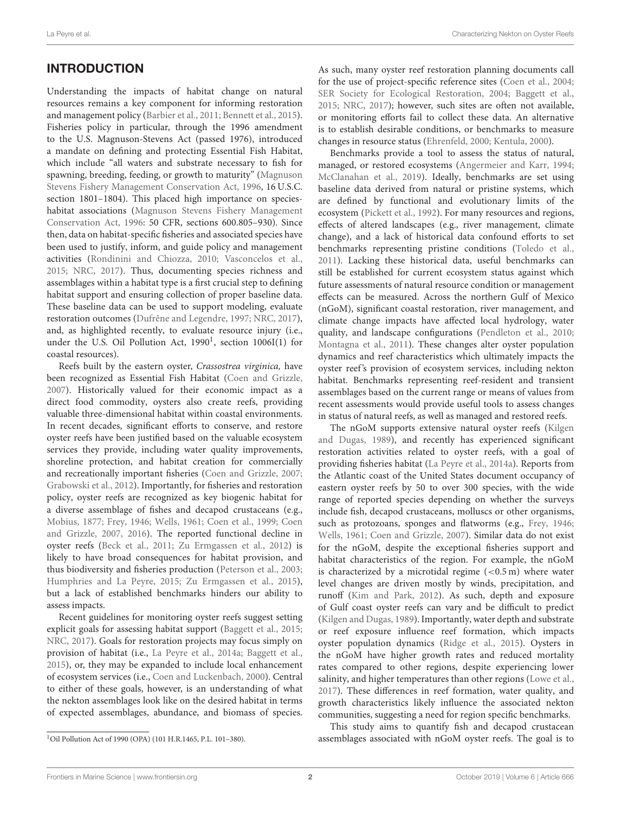## INTRODUCTION

Understanding the impacts of habitat change on natural resources remains a key component for informing restoration and management policy [\(Barbier et al., 2011;](#page-11-0) [Bennett et al., 2015\)](#page-11-1). Fisheries policy in particular, through the 1996 amendment to the U.S. Magnuson-Stevens Act (passed 1976), introduced a mandate on defining and protecting Essential Fish Habitat, which include "all waters and substrate necessary to fish for spawning, breeding, feeding, or growth to maturity" (Magnuson Stevens Fishery Management Conservation Act, [1996,](#page-12-0) 16 U.S.C. section 1801–1804). This placed high importance on specieshabitat associations (Magnuson Stevens Fishery Management Conservation Act, [1996:](#page-12-0) 50 CFR, sections 600.805–930). Since then, data on habitat-specific fisheries and associated species have been used to justify, inform, and guide policy and management activities [\(Rondinini and Chiozza, 2010;](#page-12-1) [Vasconcelos et al.,](#page-12-2) [2015;](#page-12-2) [NRC, 2017\)](#page-12-3). Thus, documenting species richness and assemblages within a habitat type is a first crucial step to defining habitat support and ensuring collection of proper baseline data. These baseline data can be used to support modeling, evaluate restoration outcomes [\(Dufrêne and Legendre, 1997;](#page-11-2) [NRC, 2017\)](#page-12-3), and, as highlighted recently, to evaluate resource injury (i.e., under the U.S. Oil Pollution Act, [1](#page-2-0)990<sup>1</sup>, section 1006I(1) for coastal resources).

Reefs built by the eastern oyster, Crassostrea virginica, have been recognized as Essential Fish Habitat [\(Coen and Grizzle,](#page-11-3) [2007\)](#page-11-3). Historically valued for their economic impact as a direct food commodity, oysters also create reefs, providing valuable three-dimensional habitat within coastal environments. In recent decades, significant efforts to conserve, and restore oyster reefs have been justified based on the valuable ecosystem services they provide, including water quality improvements, shoreline protection, and habitat creation for commercially and recreationally important fisheries [\(Coen and Grizzle, 2007;](#page-11-3) [Grabowski et al., 2012\)](#page-11-4). Importantly, for fisheries and restoration policy, oyster reefs are recognized as key biogenic habitat for a diverse assemblage of fishes and decapod crustaceans (e.g., [Mobius, 1877;](#page-12-4) [Frey, 1946;](#page-11-5) [Wells, 1961;](#page-12-5) [Coen et al., 1999;](#page-11-6) Coen and Grizzle, [2007,](#page-11-3) [2016\)](#page-11-7). The reported functional decline in oyster reefs [\(Beck et al., 2011;](#page-11-8) [Zu Ermgassen et al., 2012\)](#page-13-0) is likely to have broad consequences for habitat provision, and thus biodiversity and fisheries production [\(Peterson et al., 2003;](#page-12-6) [Humphries and La Peyre, 2015;](#page-11-9) [Zu Ermgassen et al., 2015\)](#page-13-1), but a lack of established benchmarks hinders our ability to assess impacts.

<span id="page-2-0"></span>Recent guidelines for monitoring oyster reefs suggest setting explicit goals for assessing habitat support [\(Baggett et al., 2015;](#page-11-10) [NRC, 2017\)](#page-12-3). Goals for restoration projects may focus simply on provision of habitat (i.e., [La Peyre et al., 2014a;](#page-12-7) [Baggett et al.,](#page-11-10) [2015\)](#page-11-10), or, they may be expanded to include local enhancement of ecosystem services (i.e., [Coen and Luckenbach, 2000\)](#page-11-11). Central to either of these goals, however, is an understanding of what the nekton assemblages look like on the desired habitat in terms of expected assemblages, abundance, and biomass of species. As such, many oyster reef restoration planning documents call for the use of project-specific reference sites [\(Coen et al., 2004;](#page-11-12) [SER Society for Ecological Restoration, 2004;](#page-12-8) [Baggett et al.,](#page-11-10) [2015;](#page-11-10) [NRC, 2017\)](#page-12-3); however, such sites are often not available, or monitoring efforts fail to collect these data. An alternative is to establish desirable conditions, or benchmarks to measure changes in resource status [\(Ehrenfeld, 2000;](#page-11-13) [Kentula, 2000\)](#page-11-14).

Benchmarks provide a tool to assess the status of natural, managed, or restored ecosystems [\(Angermeier and Karr, 1994;](#page-11-15) [McClanahan et al., 2019\)](#page-12-9). Ideally, benchmarks are set using baseline data derived from natural or pristine systems, which are defined by functional and evolutionary limits of the ecosystem [\(Pickett et al., 1992\)](#page-12-10). For many resources and regions, effects of altered landscapes (e.g., river management, climate change), and a lack of historical data confound efforts to set benchmarks representing pristine conditions [\(Toledo et al.,](#page-12-11) [2011\)](#page-12-11). Lacking these historical data, useful benchmarks can still be established for current ecosystem status against which future assessments of natural resource condition or management effects can be measured. Across the northern Gulf of Mexico (nGoM), significant coastal restoration, river management, and climate change impacts have affected local hydrology, water quality, and landscape configurations [\(Pendleton et al., 2010;](#page-12-12) [Montagna et al., 2011\)](#page-12-13). These changes alter oyster population dynamics and reef characteristics which ultimately impacts the oyster reef's provision of ecosystem services, including nekton habitat. Benchmarks representing reef-resident and transient assemblages based on the current range or means of values from recent assessments would provide useful tools to assess changes in status of natural reefs, as well as managed and restored reefs.

The nGoM supports extensive natural oyster reefs (Kilgen and Dugas, [1989\)](#page-12-14), and recently has experienced significant restoration activities related to oyster reefs, with a goal of providing fisheries habitat [\(La Peyre et al., 2014a\)](#page-12-7). Reports from the Atlantic coast of the United States document occupancy of eastern oyster reefs by 50 to over 300 species, with the wide range of reported species depending on whether the surveys include fish, decapod crustaceans, molluscs or other organisms, such as protozoans, sponges and flatworms (e.g., [Frey, 1946;](#page-11-5) [Wells, 1961;](#page-12-5) [Coen and Grizzle, 2007\)](#page-11-3). Similar data do not exist for the nGoM, despite the exceptional fisheries support and habitat characteristics of the region. For example, the nGoM is characterized by a microtidal regime  $(<0.5 \text{ m})$  where water level changes are driven mostly by winds, precipitation, and runoff [\(Kim and Park, 2012\)](#page-12-15). As such, depth and exposure of Gulf coast oyster reefs can vary and be difficult to predict [\(Kilgen and Dugas, 1989\)](#page-12-14). Importantly, water depth and substrate or reef exposure influence reef formation, which impacts oyster population dynamics [\(Ridge et al., 2015\)](#page-12-16). Oysters in the nGoM have higher growth rates and reduced mortality rates compared to other regions, despite experiencing lower salinity, and higher temperatures than other regions [\(Lowe et al.,](#page-12-17) [2017\)](#page-12-17). These differences in reef formation, water quality, and growth characteristics likely influence the associated nekton communities, suggesting a need for region specific benchmarks.

This study aims to quantify fish and decapod crustacean assemblages associated with nGoM oyster reefs. The goal is to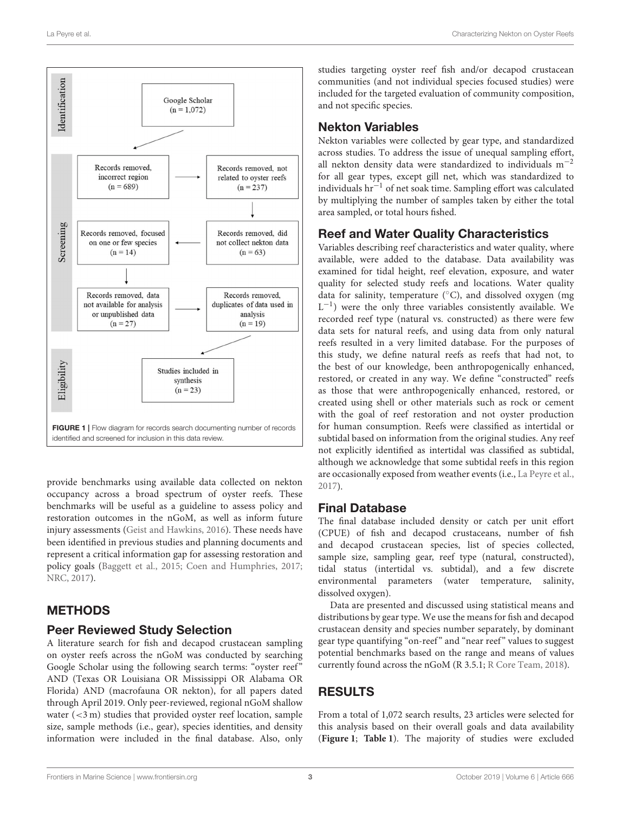

<span id="page-3-0"></span>provide benchmarks using available data collected on nekton occupancy across a broad spectrum of oyster reefs. These benchmarks will be useful as a guideline to assess policy and restoration outcomes in the nGoM, as well as inform future injury assessments [\(Geist and Hawkins, 2016\)](#page-11-16). These needs have been identified in previous studies and planning documents and represent a critical information gap for assessing restoration and policy goals [\(Baggett et al., 2015;](#page-11-10) [Coen and Humphries, 2017;](#page-11-17) [NRC, 2017\)](#page-12-3).

## **METHODS**

#### Peer Reviewed Study Selection

A literature search for fish and decapod crustacean sampling on oyster reefs across the nGoM was conducted by searching Google Scholar using the following search terms: "oyster reef" AND (Texas OR Louisiana OR Mississippi OR Alabama OR Florida) AND (macrofauna OR nekton), for all papers dated through April 2019. Only peer-reviewed, regional nGoM shallow water (<3 m) studies that provided oyster reef location, sample size, sample methods (i.e., gear), species identities, and density information were included in the final database. Also, only studies targeting oyster reef fish and/or decapod crustacean communities (and not individual species focused studies) were included for the targeted evaluation of community composition, and not specific species.

## Nekton Variables

Nekton variables were collected by gear type, and standardized across studies. To address the issue of unequal sampling effort, all nekton density data were standardized to individuals m−<sup>2</sup> for all gear types, except gill net, which was standardized to individuals hr−<sup>1</sup> of net soak time. Sampling effort was calculated by multiplying the number of samples taken by either the total area sampled, or total hours fished.

## Reef and Water Quality Characteristics

Variables describing reef characteristics and water quality, where available, were added to the database. Data availability was examined for tidal height, reef elevation, exposure, and water quality for selected study reefs and locations. Water quality data for salinity, temperature  $(^{\circ}C)$ , and dissolved oxygen (mg) L<sup>-1</sup>) were the only three variables consistently available. We recorded reef type (natural vs. constructed) as there were few data sets for natural reefs, and using data from only natural reefs resulted in a very limited database. For the purposes of this study, we define natural reefs as reefs that had not, to the best of our knowledge, been anthropogenically enhanced, restored, or created in any way. We define "constructed" reefs as those that were anthropogenically enhanced, restored, or created using shell or other materials such as rock or cement with the goal of reef restoration and not oyster production for human consumption. Reefs were classified as intertidal or subtidal based on information from the original studies. Any reef not explicitly identified as intertidal was classified as subtidal, although we acknowledge that some subtidal reefs in this region are occasionally exposed from weather events (i.e., [La Peyre et al.,](#page-12-18) [2017\)](#page-12-18).

## Final Database

The final database included density or catch per unit effort (CPUE) of fish and decapod crustaceans, number of fish and decapod crustacean species, list of species collected, sample size, sampling gear, reef type (natural, constructed), tidal status (intertidal vs. subtidal), and a few discrete environmental parameters (water temperature, salinity, dissolved oxygen).

Data are presented and discussed using statistical means and distributions by gear type. We use the means for fish and decapod crustacean density and species number separately, by dominant gear type quantifying "on-reef" and "near reef" values to suggest potential benchmarks based on the range and means of values currently found across the nGoM (R 3.5.1; [R Core Team, 2018\)](#page-12-19).

## RESULTS

From a total of 1,072 search results, 23 articles were selected for this analysis based on their overall goals and data availability (**[Figure 1](#page-3-0)**; **[Table 1](#page-4-0)**). The majority of studies were excluded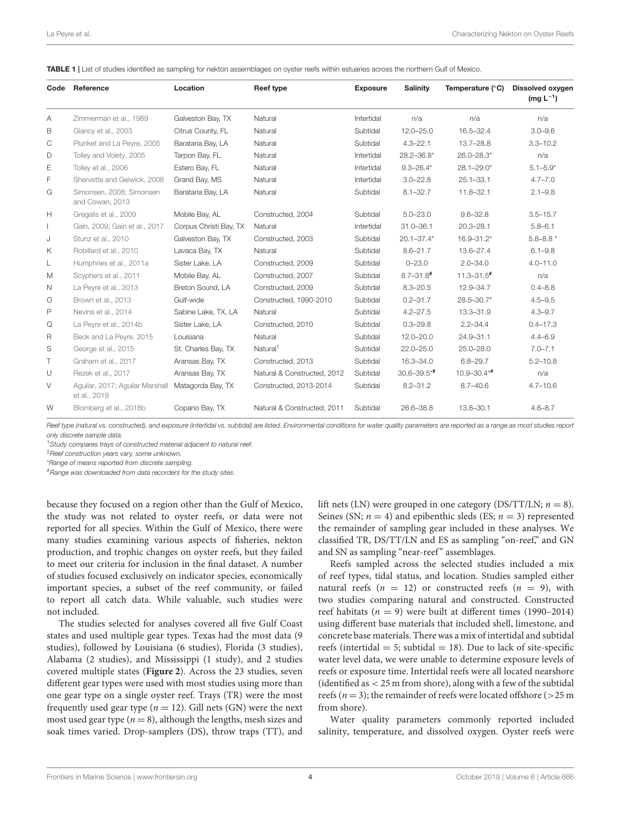<span id="page-4-0"></span>

| TABLE 1   List of studies identified as sampling for nekton assemblages on oyster reefs within estuaries across the northern Gulf of Mexico. |  |
|----------------------------------------------------------------------------------------------------------------------------------------------|--|
|----------------------------------------------------------------------------------------------------------------------------------------------|--|

| Code | Reference                                       | Location               | Reef type                   | <b>Exposure</b> | <b>Salinity</b>  | Temperature (°C)           | <b>Dissolved oxygen</b><br>$(mg L^{-1})$ |
|------|-------------------------------------------------|------------------------|-----------------------------|-----------------|------------------|----------------------------|------------------------------------------|
| Α    | Zimmerman et al., 1989                          | Galveston Bay, TX      | Natural                     | Intertidal      | n/a              | n/a                        | n/a                                      |
| B    | Glancy et al., 2003                             | Citrus County, FL      | Natural                     | Subtidal        | $12.0 - 25.0$    | 16.5-32.4                  | $3.0 - 9.6$                              |
| С    | Plunket and La Peyre, 2005                      | Barataria Bay, LA      | Natural                     | Subtidal        | $4.3 - 22.1$     | $13.7 - 28.8$              | $3.3 - 10.2$                             |
| D    | Tolley and Volety, 2005                         | Tarpon Bay, FL         | Natural                     | Intertidal      | 28.2-36.8*       | 26.0-28.3*                 | n/a                                      |
| Ε    | Tolley et al., 2006                             | Estero Bay, FL         | Natural                     | Intertidal      | $9.3 - 26.4*$    | $28.1 - 29.0*$             | $5.1 - 5.9*$                             |
| F    | Shervette and Gelwick, 2008                     | Grand Bay, MS          | Natural                     | Intertidal      | $3.0 - 22.8$     | $25.1 - 33.1$              | $4.7 - 7.0$                              |
| G    | Simonsen, 2008; Simonsen<br>and Cowan, 2013     | Barataria Bay, LA      | Natural                     | Subtidal        | $8.1 - 32.7$     | $11.8 - 32.1$              | $2.1 - 9.8$                              |
| Н    | Gregalis et al., 2009                           | Mobile Bay, AL         | Constructed, 2004           | Subtidal        | $5.0 - 23.0$     | $9.6 - 32.8$               | $3.5 - 15.7$                             |
|      | Gain, 2009; Gain et al., 2017                   | Corpus Christi Bay, TX | Natural                     | Intertidal      | $31.0 - 36.1$    | $20.3 - 28.1$              | $5.8 - 6.1$                              |
| J    | Stunz et al., 2010                              | Galveston Bay, TX      | Constructed, 2003           | Subtidal        | $20.1 - 37.4*$   | $16.9 - 31.2*$             | $5.8 - 8.8*$                             |
| Κ    | Robillard et al., 2010                          | Lavaca Bay, TX         | Natural                     | Subtidal        | $8.6 - 21.7$     | 13.6-27.4                  | $6.1 - 9.8$                              |
| L    | Humphries et al., 2011a                         | Sister Lake, LA        | Constructed, 2009           | Subtidal        | $0 - 23.0$       | $2.0 - 34.0$               | $4.0 - 11.0$                             |
| M    | Scyphers et al., 2011                           | Mobile Bay, AL         | Constructed, 2007           | Subtidal        | $8.7 - 31.8$ #   | $11.3 - 31.5$ <sup>#</sup> | n/a                                      |
| N    | La Peyre et al., 2013                           | Breton Sound, LA       | Constructed, 2009           | Subtidal        | $8.3 - 20.5$     | 12.9-34.7                  | $0.4 - 8.8$                              |
| O    | Brown et al., 2013                              | Gulf-wide              | Constructed, 1990-2010      | Subtidal        | $0.2 - 31.7$     | $28.5 - 30.7*$             | $4.5 - 9.5$                              |
| P    | Nevins et al., 2014                             | Sabine Lake, TX, LA    | Natural                     | Subtidal        | $4.2 - 27.5$     | 13.3-31.9                  | $4.3 - 9.7$                              |
| Q    | La Peyre et al., 2014b                          | Sister Lake, LA        | Constructed, 2010           | Subtidal        | $0.3 - 29.8$     | $2.2 - 34.4$               | $0.4 - 17.3$                             |
| R    | Beck and La Peyre, 2015                         | Louisiana              | Natural                     | Subtidal        | $12.0 - 20.0$    | 24.9-31.1                  | $4.4 - 6.9$                              |
| S    | George et al., 2015                             | St. Charles Bay, TX    | Natural <sup>1</sup>        | Subtidal        | $22.0 - 25.0$    | $25.0 - 28.0$              | $7.0 - 7.1$                              |
| Τ    | Graham et al., 2017                             | Aransas Bay, TX        | Constructed, 2013           | Subtidal        | 16.3-34.0        | $6.8 - 29.7$               | $5.2 - 10.8$                             |
| U    | Rezek et al., 2017                              | Aransas Bay, TX        | Natural & Constructed, 2012 | Subtidal        | $30.6 - 39.5$ *# | $10.9 - 30.4**$            | n/a                                      |
| V    | Aquilar, 2017; Aquilar Marshall<br>et al., 2019 | Matagorda Bay, TX      | Constructed, 2013-2014      | Subtidal        | $8.2 - 31.2$     | $8.7 - 40.6$               | $4.7 - 10.6$                             |
| W    | Blomberg et al., 2018b                          | Copano Bay, TX         | Natural & Constructed, 2011 | Subtidal        | 26.6-38.8        | 13.8-30.1                  | $4.6 - 8.7$                              |

*Reef type (natural vs. constructed), and exposure (intertidal vs. subtidal) are listed. Environmental conditions for water quality parameters are reported as a range as most studies report only discrete sample data.*

<sup>1</sup>*Study compares trays of constructed material adjacent to natural reef.*

<sup>2</sup>*Reef construction years vary, some unknown.*

\**Range of means reported from discrete sampling.*

#*Range was downloaded from data recorders for the study sites.*

because they focused on a region other than the Gulf of Mexico, the study was not related to oyster reefs, or data were not reported for all species. Within the Gulf of Mexico, there were many studies examining various aspects of fisheries, nekton production, and trophic changes on oyster reefs, but they failed to meet our criteria for inclusion in the final dataset. A number of studies focused exclusively on indicator species, economically important species, a subset of the reef community, or failed to report all catch data. While valuable, such studies were not included.

The studies selected for analyses covered all five Gulf Coast states and used multiple gear types. Texas had the most data (9 studies), followed by Louisiana (6 studies), Florida (3 studies), Alabama (2 studies), and Mississippi (1 study), and 2 studies covered multiple states (**[Figure 2](#page-5-0)**). Across the 23 studies, seven different gear types were used with most studies using more than one gear type on a single oyster reef. Trays (TR) were the most frequently used gear type ( $n = 12$ ). Gill nets (GN) were the next most used gear type ( $n = 8$ ), although the lengths, mesh sizes and soak times varied. Drop-samplers (DS), throw traps (TT), and lift nets (LN) were grouped in one category (DS/TT/LN;  $n = 8$ ). Seines (SN;  $n = 4$ ) and epibenthic sleds (ES;  $n = 3$ ) represented the remainder of sampling gear included in these analyses. We classified TR, DS/TT/LN and ES as sampling "on-reef," and GN and SN as sampling "near-reef" assemblages.

Reefs sampled across the selected studies included a mix of reef types, tidal status, and location. Studies sampled either natural reefs ( $n = 12$ ) or constructed reefs ( $n = 9$ ), with two studies comparing natural and constructed. Constructed reef habitats ( $n = 9$ ) were built at different times (1990–2014) using different base materials that included shell, limestone, and concrete base materials. There was a mix of intertidal and subtidal reefs (intertidal  $= 5$ ; subtidal  $= 18$ ). Due to lack of site-specific water level data, we were unable to determine exposure levels of reefs or exposure time. Intertidal reefs were all located nearshore (identified as < 25 m from shore), along with a few of the subtidal reefs ( $n = 3$ ); the remainder of reefs were located offshore ( $>$ 25 m from shore).

Water quality parameters commonly reported included salinity, temperature, and dissolved oxygen. Oyster reefs were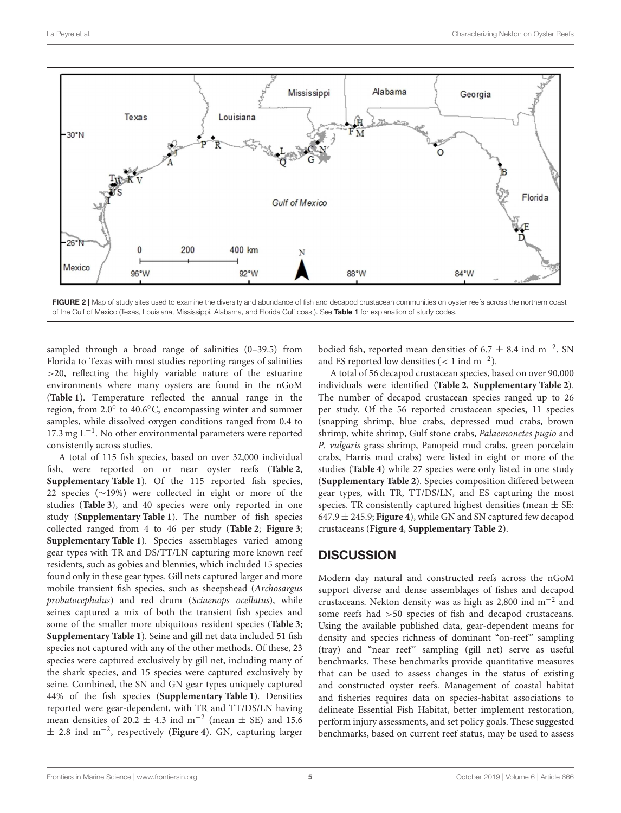

<span id="page-5-0"></span>FIGURE 2 | Map of study sites used to examine the diversity and abundance of fish and decapod crustacean communities on oyster reefs across the northern coast of the Gulf of Mexico (Texas, Louisiana, Mississippi, Alabama, and Florida Gulf coast). See [Table 1](#page-4-0) for explanation of study codes.

sampled through a broad range of salinities (0–39.5) from Florida to Texas with most studies reporting ranges of salinities >20, reflecting the highly variable nature of the estuarine environments where many oysters are found in the nGoM (**[Table 1](#page-4-0)**). Temperature reflected the annual range in the region, from 2.0◦ to 40.6◦C, encompassing winter and summer samples, while dissolved oxygen conditions ranged from 0.4 to 17.3 mg L−<sup>1</sup> . No other environmental parameters were reported consistently across studies.

A total of 115 fish species, based on over 32,000 individual fish, were reported on or near oyster reefs (**[Table 2](#page-6-0)**, **[Supplementary Table 1](#page-10-2)**). Of the 115 reported fish species, 22 species (∼19%) were collected in eight or more of the studies (**[Table 3](#page-7-0)**), and 40 species were only reported in one study (**[Supplementary Table 1](#page-10-2)**). The number of fish species collected ranged from 4 to 46 per study (**[Table 2](#page-6-0)**; **[Figure 3](#page-7-1)**; **[Supplementary Table 1](#page-10-2)**). Species assemblages varied among gear types with TR and DS/TT/LN capturing more known reef residents, such as gobies and blennies, which included 15 species found only in these gear types. Gill nets captured larger and more mobile transient fish species, such as sheepshead (Archosargus probatocephalus) and red drum (Sciaenops ocellatus), while seines captured a mix of both the transient fish species and some of the smaller more ubiquitous resident species (**[Table 3](#page-7-0)**; **[Supplementary Table 1](#page-10-2)**). Seine and gill net data included 51 fish species not captured with any of the other methods. Of these, 23 species were captured exclusively by gill net, including many of the shark species, and 15 species were captured exclusively by seine. Combined, the SN and GN gear types uniquely captured 44% of the fish species (**[Supplementary Table 1](#page-10-2)**). Densities reported were gear-dependent, with TR and TT/DS/LN having mean densities of 20.2  $\pm$  4.3 ind m<sup>-2</sup> (mean  $\pm$  SE) and 15.6 ± 2.8 ind m−<sup>2</sup> , respectively (**[Figure 4](#page-8-0)**). GN, capturing larger

bodied fish, reported mean densities of  $6.7 \pm 8.4$  ind m<sup>-2</sup>. SN and ES reported low densities (< 1 ind  $m^{-2}$ ).

A total of 56 decapod crustacean species, based on over 90,000 individuals were identified (**[Table 2](#page-6-0)**, **[Supplementary Table 2](#page-10-2)**). The number of decapod crustacean species ranged up to 26 per study. Of the 56 reported crustacean species, 11 species (snapping shrimp, blue crabs, depressed mud crabs, brown shrimp, white shrimp, Gulf stone crabs, Palaemonetes pugio and P. vulgaris grass shrimp, Panopeid mud crabs, green porcelain crabs, Harris mud crabs) were listed in eight or more of the studies (**[Table 4](#page-9-0)**) while 27 species were only listed in one study (**[Supplementary Table 2](#page-10-2)**). Species composition differed between gear types, with TR, TT/DS/LN, and ES capturing the most species. TR consistently captured highest densities (mean  $\pm$  SE: 647.9 ± 245.9; **[Figure 4](#page-8-0)**), while GN and SN captured few decapod crustaceans (**[Figure 4](#page-8-0)**, **[Supplementary Table 2](#page-10-2)**).

## **DISCUSSION**

Modern day natural and constructed reefs across the nGoM support diverse and dense assemblages of fishes and decapod crustaceans. Nekton density was as high as 2,800 ind  $m^{-2}$  and some reefs had  $>50$  species of fish and decapod crustaceans. Using the available published data, gear-dependent means for density and species richness of dominant "on-reef" sampling (tray) and "near reef" sampling (gill net) serve as useful benchmarks. These benchmarks provide quantitative measures that can be used to assess changes in the status of existing and constructed oyster reefs. Management of coastal habitat and fisheries requires data on species-habitat associations to delineate Essential Fish Habitat, better implement restoration, perform injury assessments, and set policy goals. These suggested benchmarks, based on current reef status, may be used to assess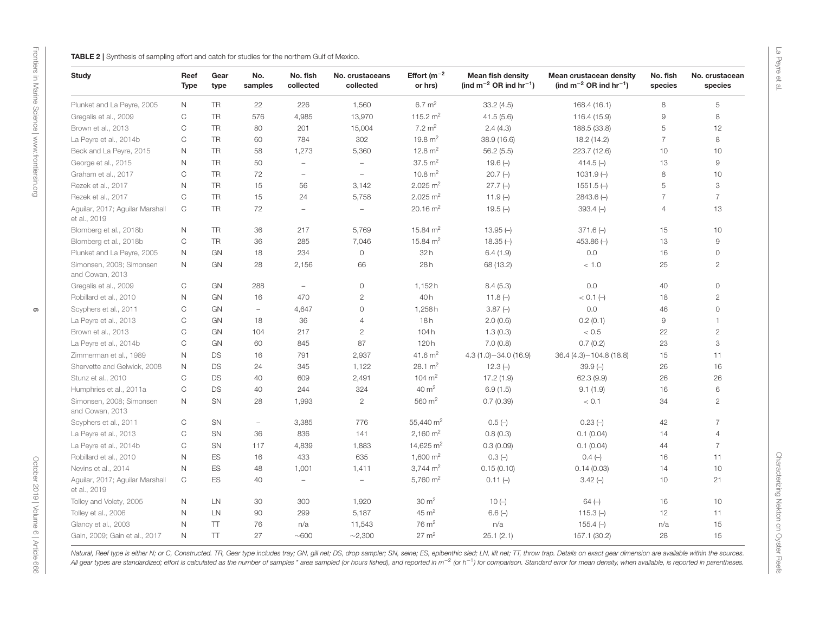<span id="page-6-0"></span>

| <b>Study</b>                                    | Reef<br><b>Type</b> | Gear<br>type | No.<br>samples           | No. fish<br>collected    | No. crustaceans<br>collected | Effort $(m^{-2})$<br>or hrs) | <b>Mean fish density</b><br>(ind $m^{-2}$ OR ind $hr^{-1}$ ) | Mean crustacean density<br>(ind $m^{-2}$ OR ind $hr^{-1}$ ) | No. fish<br>species | No. crustacean<br>species |
|-------------------------------------------------|---------------------|--------------|--------------------------|--------------------------|------------------------------|------------------------------|--------------------------------------------------------------|-------------------------------------------------------------|---------------------|---------------------------|
| Plunket and La Peyre, 2005                      | N                   | <b>TR</b>    | 22                       | 226                      | 1,560                        | $6.7 \text{ m}^2$            | 33.2(4.5)                                                    | 168.4 (16.1)                                                | 8                   | 5                         |
| Gregalis et al., 2009                           | $\mathsf C$         | <b>TR</b>    | 576                      | 4,985                    | 13,970                       | 115.2 $m2$                   | 41.5(5.6)                                                    | 116.4 (15.9)                                                | $\overline{9}$      | 8                         |
| Brown et al., 2013                              | $\mathsf C$         | <b>TR</b>    | 80                       | 201                      | 15,004                       | $7.2 \text{ m}^2$            | 2.4(4.3)                                                     | 188.5 (33.8)                                                | 5                   | 12                        |
| La Peyre et al., 2014b                          | $\mathsf C$         | <b>TR</b>    | 60                       | 784                      | 302                          | 19.8 $m2$                    | 38.9 (16.6)                                                  | 18.2 (14.2)                                                 | $\overline{7}$      | 8                         |
| Beck and La Peyre, 2015                         | $\mathsf N$         | <b>TR</b>    | 58                       | 1,273                    | 5,360                        | 12.8 $m2$                    | 56.2(5.5)                                                    | 223.7 (12.6)                                                | 10                  | 10                        |
| George et al., 2015                             | $\mathsf{N}$        | <b>TR</b>    | 50                       | $\overline{\phantom{a}}$ | $\overline{\phantom{a}}$     | $37.5 \text{ m}^2$           | $19.6(-)$                                                    | 414.5 $(-)$                                                 | 13                  | $\hbox{9}$                |
| Graham et al., 2017                             | $\mathsf C$         | <b>TR</b>    | 72                       | $\overline{\phantom{a}}$ | $\overline{\phantom{a}}$     | $10.8 \text{ m}^2$           | $20.7(-)$                                                    | $1031.9(-)$                                                 | 8                   | 10                        |
| Rezek et al., 2017                              | $\mathsf N$         | <b>TR</b>    | 15                       | 56                       | 3,142                        | $2.025 \text{ m}^2$          | $27.7(-)$                                                    | $1551.5(-)$                                                 | 5                   | 3                         |
| Rezek et al., 2017                              | $\mathbb{C}$        | <b>TR</b>    | 15                       | 24                       | 5,758                        | $2.025 \text{ m}^2$          | 11.9 $(-)$                                                   | $2843.6(-)$                                                 | $\overline{7}$      | $\overline{7}$            |
| Aguilar, 2017; Aguilar Marshall<br>et al., 2019 | $\mathsf{C}$        | <b>TR</b>    | 72                       | $\overline{\phantom{a}}$ | $\overline{\phantom{a}}$     | $20.16 \text{ m}^2$          | $19.5(-)$                                                    | $393.4(-)$                                                  | $\overline{4}$      | 13                        |
| Blomberg et al., 2018b                          | $\mathsf{N}$        | <b>TR</b>    | 36                       | 217                      | 5,769                        | 15.84 $m2$                   | $13.95(-)$                                                   | $371.6(-)$                                                  | 15                  | 10                        |
| Blomberg et al., 2018b                          | $\mathsf C$         | <b>TR</b>    | 36                       | 285                      | 7,046                        | 15.84 $m2$                   | $18.35(-)$                                                   | 453.86 $(-)$                                                | 13                  | $\hbox{9}$                |
| Plunket and La Peyre, 2005                      | $\mathsf N$         | GN           | 18                       | 234                      | $\mathsf{O}\xspace$          | 32h                          | 6.4(1.9)                                                     | 0.0                                                         | 16                  | $\mathsf{O}\xspace$       |
| Simonsen, 2008; Simonsen<br>and Cowan, 2013     | $\mathsf{N}$        | GN           | 28                       | 2,156                    | 66                           | 28h                          | 68 (13.2)                                                    | < 1.0                                                       | 25                  | $\mathbf{2}$              |
| Gregalis et al., 2009                           | $\mathsf C$         | GN           | 288                      | $\overline{\phantom{a}}$ | $\mathsf{O}\xspace$          | 1,152h                       | 8.4(5.3)                                                     | 0.0                                                         | 40                  | $\mathsf{O}\xspace$       |
| Robillard et al., 2010                          | $\mathsf N$         | GN           | 16                       | 470                      | $\mathbf{2}$                 | 40h                          | 11.8 $(-)$                                                   | $<$ 0.1 (-)                                                 | 18                  | $\mathbf{2}$              |
| Scyphers et al., 2011                           | $\mathsf C$         | GN           | $\sim$                   | 4,647                    | $\mathsf{O}\xspace$          | 1,258h                       | $3.87(-)$                                                    | 0.0                                                         | 46                  | $\mathsf{O}\xspace$       |
| La Peyre et al., 2013                           | $\mathsf C$         | GN           | 18                       | 36                       | $\overline{4}$               | 18h                          | 2.0(0.6)                                                     | 0.2(0.1)                                                    | $\mathcal G$        | $\mathbf{1}$              |
| Brown et al., 2013                              | C                   | GN           | 104                      | 217                      | $\mathbf{2}$                 | 104h                         | 1.3(0.3)                                                     | < 0.5                                                       | 22                  | $\mathbf{2}$              |
| La Peyre et al., 2014b                          | C                   | GN           | 60                       | 845                      | 87                           | 120h                         | 7.0(0.8)                                                     | 0.7(0.2)                                                    | 23                  | 3                         |
| Zimmerman et al., 1989                          | N                   | <b>DS</b>    | 16                       | 791                      | 2,937                        | 41.6 $m2$                    | $4.3(1.0) - 34.0(16.9)$                                      | $36.4(4.3) - 104.8(18.8)$                                   | 15                  | 11                        |
| Shervette and Gelwick, 2008                     | $\mathsf{N}$        | <b>DS</b>    | 24                       | 345                      | 1,122                        | $28.1 \text{ m}^2$           | $12.3(-)$                                                    | $39.9(-)$                                                   | 26                  | 16                        |
| Stunz et al., 2010                              | $\mathsf C$         | <b>DS</b>    | 40                       | 609                      | 2,491                        | 104 $\rm m^2$                | 17.2(1.9)                                                    | 62.3(9.9)                                                   | 26                  | 26                        |
| Humphries et al., 2011a                         | $\mathsf C$         | <b>DS</b>    | 40                       | 244                      | 324                          | $40 \text{ m}^2$             | 6.9(1.5)                                                     | 9.1(1.9)                                                    | 16                  | 6                         |
| Simonsen, 2008; Simonsen<br>and Cowan, 2013     | $\mathsf{N}$        | SN           | 28                       | 1,993                    | $\sqrt{2}$                   | 560 $m2$                     | 0.7(0.39)                                                    | < 0.1                                                       | 34                  | $\overline{c}$            |
| Scyphers et al., 2011                           | C                   | <b>SN</b>    | $\overline{\phantom{a}}$ | 3,385                    | 776                          | 55,440 m <sup>2</sup>        | $0.5(-)$                                                     | $0.23(-)$                                                   | 42                  | $\overline{7}$            |
| La Peyre et al., 2013                           | $\mathsf C$         | SN           | 36                       | 836                      | 141                          | 2,160 $m2$                   | 0.8(0.3)                                                     | 0.1(0.04)                                                   | 14                  | $\overline{4}$            |
| La Peyre et al., 2014b                          | C                   | SN           | 117                      | 4,839                    | 1,883                        | 14,625 $m2$                  | 0.3(0.09)                                                    | 0.1(0.04)                                                   | 44                  | $\overline{7}$            |
| Robillard et al., 2010                          | $\mathsf N$         | <b>ES</b>    | 16                       | 433                      | 635                          | 1,600 $m2$                   | 0.3(                                                         | $0.4(-)$                                                    | 16                  | 11                        |
| Nevins et al., 2014                             | $\mathsf N$         | <b>ES</b>    | 48                       | 1,001                    | 1,411                        | $3,744 \text{ m}^2$          | 0.15(0.10)                                                   | 0.14(0.03)                                                  | 14                  | 10                        |
| Aguilar, 2017; Aguilar Marshall<br>et al., 2019 | $\mathsf C$         | ES           | 40                       | $\overline{\phantom{a}}$ | $\overline{\phantom{a}}$     | 5,760 $m2$                   | $0.11(-)$                                                    | $3.42(-)$                                                   | 10                  | 21                        |
| Tolley and Volety, 2005                         | N                   | LN           | 30                       | 300                      | 1,920                        | $30 \text{ m}^2$             | $10(-)$                                                      | $64(-)$                                                     | 16                  | 10                        |
| Tolley et al., 2006                             | N                   | LN           | 90                       | 299                      | 5,187                        | $45 \text{ m}^2$             | $6.6(-)$                                                     | 115.3 $(-)$                                                 | 12                  | 11                        |
| Glancy et al., 2003                             | N                   | $\top$       | 76                       | n/a                      | 11,543                       | $76 \text{ m}^2$             | n/a                                                          | $155.4(-)$                                                  | n/a                 | 15                        |
| Gain, 2009; Gain et al., 2017                   | $\mathsf{N}$        | $\top$       | 27                       | $\sim$ 600               | ~2,300                       | $27 \text{ m}^2$             | 25.1(2.1)                                                    | 157.1 (30.2)                                                | 28                  | 15                        |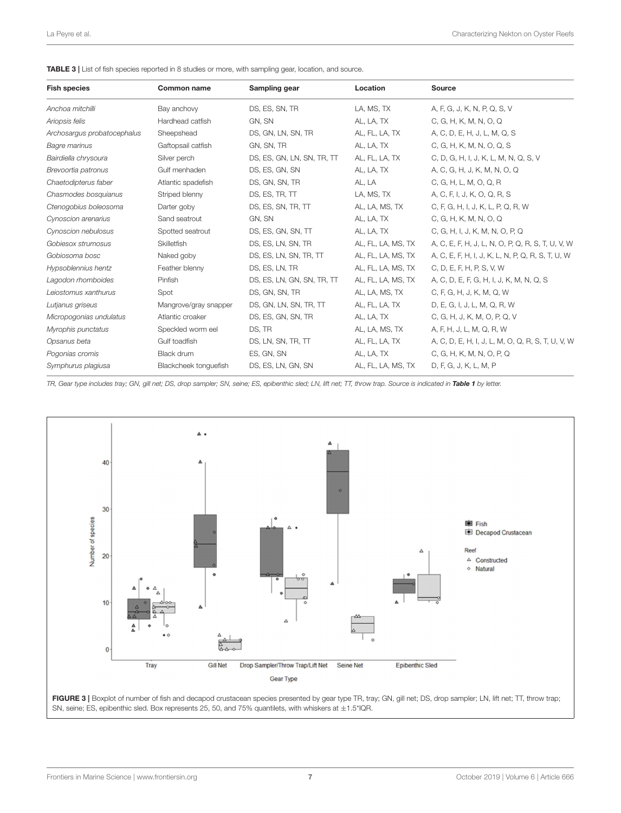<span id="page-7-0"></span>

| <b>Fish species</b>         | <b>Common name</b>    | Sampling gear              | Location           | Source                                            |
|-----------------------------|-----------------------|----------------------------|--------------------|---------------------------------------------------|
| Anchoa mitchilli            | Bay anchovy           | DS, ES, SN, TR             | LA, MS, TX         | A, F, G, J, K, N, P, Q, S, V                      |
| Ariopsis felis              | Hardhead catfish      | GN, SN                     | AL, LA, TX         | C, G, H, K, M, N, O, Q                            |
| Archosargus probatocephalus | Sheepshead            | DS, GN, LN, SN, TR         | AL, FL, LA, TX     | A, C, D, E, H, J, L, M, Q, S                      |
| <b>Bagre marinus</b>        | Gaftopsail catfish    | GN, SN, TR                 | AL, LA, TX         | C, G, H, K, M, N, O, Q, S                         |
| Bairdiella chrysoura        | Silver perch          | DS, ES, GN, LN, SN, TR, TT | AL, FL, LA, TX     | C, D, G, H, I, J, K, L, M, N, Q, S, V             |
| Brevoortia patronus         | Gulf menhaden         | DS, ES, GN, SN             | AL, LA, TX         | A, C, G, H, J, K, M, N, O, Q                      |
| Chaetodipterus faber        | Atlantic spadefish    | DS, GN, SN, TR             | AL, LA             | C, G, H, L, M, O, Q, R                            |
| Chasmodes bosquianus        | Striped blenny        | DS, ES, TR, TT             | LA, MS, TX         | A, C, F, I, J, K, O, Q, R, S                      |
| Ctenogobius boleosoma       | Darter goby           | DS, ES, SN, TR, TT         | AL, LA, MS, TX     | C, F, G, H, I, J, K, L, P, Q, R, W                |
| Cynoscion arenarius         | Sand seatrout         | GN, SN                     | AL, LA, TX         | C, G, H, K, M, N, O, Q                            |
| Cynoscion nebulosus         | Spotted seatrout      | DS, ES, GN, SN, TT         | AL, LA, TX         | C, G, H, I, J, K, M, N, O, P, Q                   |
| Gobiesox strumosus          | <b>Skilletfish</b>    | DS, ES, LN, SN, TR         | AL, FL, LA, MS, TX | A, C, E, F, H, J, L, N, O, P, Q, R, S, T, U, V, W |
| Gobiosoma bosc              | Naked goby            | DS, ES, LN, SN, TR, TT     | AL, FL, LA, MS, TX | A, C, E, F, H, I, J, K, L, N, P, Q, R, S, T, U, W |
| Hypsoblennius hentz         | Feather blenny        | DS, ES, LN, TR             | AL, FL, LA, MS, TX | C, D, E, F, H, P, S, V, W                         |
| Lagodon rhomboides          | Pinfish               | DS, ES, LN, GN, SN, TR, TT | AL, FL, LA, MS, TX | A, C, D, E, F, G, H, I, J, K, M, N, Q, S          |
| Leiostomus xanthurus        | Spot                  | DS, GN, SN, TR             | AL, LA, MS, TX     | C, F, G, H, J, K, M, Q, W                         |
| Lutjanus griseus            | Mangrove/gray snapper | DS, GN, LN, SN, TR, TT     | AL, FL, LA, TX     | D, E, G, I, J, L, M, Q, R, W                      |
| Micropogonias undulatus     | Atlantic croaker      | DS, ES, GN, SN, TR         | AL, LA, TX         | C, G, H, J, K, M, O, P, Q, V                      |
| Myrophis punctatus          | Speckled worm eel     | DS, TR                     | AL, LA, MS, TX     | A, F, H, J, L, M, Q, R, W                         |
| Opsanus beta                | Gulf toadfish         | DS, LN, SN, TR, TT         | AL, FL, LA, TX     | A, C, D, E, H, I, J, L, M, O, Q, R, S, T, U, V, W |
| Pogonias cromis             | Black drum            | ES, GN, SN                 | AL, LA, TX         | C, G, H, K, M, N, O, P, Q                         |
| Symphurus plagiusa          | Blackcheek tonguefish | DS, ES, LN, GN, SN         | AL, FL, LA, MS, TX | D, F, G, J, K, L, M, P                            |

*TR, Gear type includes tray; GN, gill net; DS, drop sampler; SN, seine; ES, epibenthic sled; LN, lift net; TT, throw trap. Source is indicated in* [Table 1](#page-4-0) *by letter.*



<span id="page-7-1"></span>SN, seine; ES, epibenthic sled. Box represents 25, 50, and 75% quantilets, with whiskers at ±1.5\*IQR.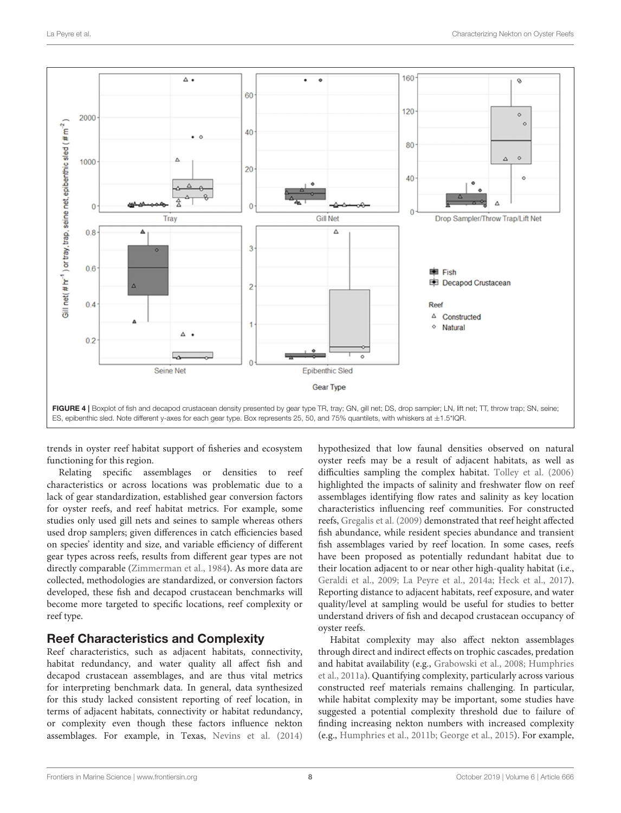

<span id="page-8-0"></span>trends in oyster reef habitat support of fisheries and ecosystem functioning for this region.

Relating specific assemblages or densities to reef characteristics or across locations was problematic due to a lack of gear standardization, established gear conversion factors for oyster reefs, and reef habitat metrics. For example, some studies only used gill nets and seines to sample whereas others used drop samplers; given differences in catch efficiencies based on species' identity and size, and variable efficiency of different gear types across reefs, results from different gear types are not directly comparable [\(Zimmerman et al., 1984\)](#page-13-2). As more data are collected, methodologies are standardized, or conversion factors developed, these fish and decapod crustacean benchmarks will become more targeted to specific locations, reef complexity or reef type.

#### Reef Characteristics and Complexity

Reef characteristics, such as adjacent habitats, connectivity, habitat redundancy, and water quality all affect fish and decapod crustacean assemblages, and are thus vital metrics for interpreting benchmark data. In general, data synthesized for this study lacked consistent reporting of reef location, in terms of adjacent habitats, connectivity or habitat redundancy, or complexity even though these factors influence nekton assemblages. For example, in Texas, [Nevins et al. \(2014\)](#page-12-31) hypothesized that low faunal densities observed on natural oyster reefs may be a result of adjacent habitats, as well as difficulties sampling the complex habitat. [Tolley et al. \(2006\)](#page-12-23) highlighted the impacts of salinity and freshwater flow on reef assemblages identifying flow rates and salinity as key location characteristics influencing reef communities. For constructed reefs, [Gregalis et al. \(2009\)](#page-11-19) demonstrated that reef height affected fish abundance, while resident species abundance and transient fish assemblages varied by reef location. In some cases, reefs have been proposed as potentially redundant habitat due to their location adjacent to or near other high-quality habitat (i.e., [Geraldi et al., 2009;](#page-11-38) [La Peyre et al., 2014a;](#page-12-7) [Heck et al., 2017\)](#page-11-39). Reporting distance to adjacent habitats, reef exposure, and water quality/level at sampling would be useful for studies to better understand drivers of fish and decapod crustacean occupancy of oyster reefs.

Habitat complexity may also affect nekton assemblages through direct and indirect effects on trophic cascades, predation and habitat availability (e.g., [Grabowski et al., 2008;](#page-11-40) Humphries et al., [2011a\)](#page-11-22). Quantifying complexity, particularly across various constructed reef materials remains challenging. In particular, while habitat complexity may be important, some studies have suggested a potential complexity threshold due to failure of finding increasing nekton numbers with increased complexity (e.g., [Humphries et al., 2011b;](#page-11-41) [George et al., 2015\)](#page-11-25). For example,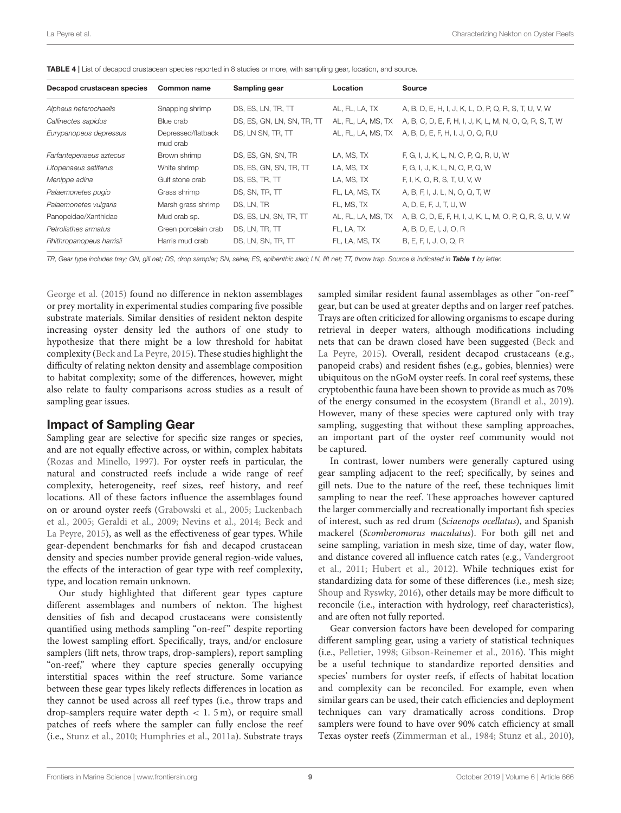<span id="page-9-0"></span>

| TABLE 4   List of decapod crustacean species reported in 8 studies or more, with sampling gear, location, and source. |  |
|-----------------------------------------------------------------------------------------------------------------------|--|
|-----------------------------------------------------------------------------------------------------------------------|--|

| Decapod crustacean species | Common name                    | Sampling gear              | Location           | Source                                                     |
|----------------------------|--------------------------------|----------------------------|--------------------|------------------------------------------------------------|
| Alpheus heterochaelis      | Snapping shrimp                | DS, ES, LN, TR, TT         | AL, FL, LA, TX     | A, B, D, E, H, I, J, K, L, O, P, Q, R, S, T, U, V, W       |
| Callinectes sapidus        | Blue crab                      | DS, ES, GN, LN, SN, TR, TT | AL, FL, LA, MS, TX | A, B, C, D, E, F, H, I, J, K, L, M, N, O, Q, R, S, T, W    |
| Eurypanopeus depressus     | Depressed/flatback<br>mud crab | DS, LN SN, TR, TT          | AL, FL, LA, MS, TX | A, B, D, E, F, H, I, J, O, Q, R,U                          |
| Farfantepenaeus aztecus    | Brown shrimp                   | DS, ES, GN, SN, TR         | LA, MS, TX         | F, G, I, J, K, L, N, O, P, Q, R, U, W                      |
| Litopenaeus setiferus      | White shrimp                   | DS, ES, GN, SN, TR, TT     | LA, MS, TX         | F, G, I, J, K, L, N, O, P, Q, W                            |
| Menippe adina              | Gulf stone crab                | DS, ES, TR, TT             | LA, MS, TX         | F, I, K, O, R, S, T, U, V, W                               |
| Palaemonetes pugio         | Grass shrimp                   | DS, SN, TR, TT             | FL, LA, MS, TX     | A, B, F, I, J, L, N, O, Q, T, W                            |
| Palaemonetes vulgaris      | Marsh grass shrimp             | DS, LN, TR                 | FL, MS, TX         | A, D, E, F, J, T, U, W                                     |
| Panopeidae/Xanthidae       | Mud crab sp.                   | DS, ES, LN, SN, TR, TT     | AL, FL, LA, MS, TX | A, B, C, D, E, F, H, I, J, K, L, M, O, P, Q, R, S, U, V, W |
| Petrolisthes armatus       | Green porcelain crab           | DS, LN, TR, TT             | FL, LA, TX         | A, B, D, E, I, J, O, R                                     |
| Rhithropanopeus harrisii   | Harris mud crab                | DS, LN, SN, TR, TT         | FL, LA, MS, TX     | B, E, F, I, J, O, Q, R                                     |

*TR, Gear type includes tray; GN, gill net; DS, drop sampler; SN, seine; ES, epibenthic sled; LN, lift net; TT, throw trap. Source is indicated in* [Table 1](#page-4-0) *by letter.*

[George et al. \(2015\)](#page-11-25) found no difference in nekton assemblages or prey mortality in experimental studies comparing five possible substrate materials. Similar densities of resident nekton despite increasing oyster density led the authors of one study to hypothesize that there might be a low threshold for habitat complexity [\(Beck and La Peyre, 2015\)](#page-11-24). These studies highlight the difficulty of relating nekton density and assemblage composition to habitat complexity; some of the differences, however, might also relate to faulty comparisons across studies as a result of sampling gear issues.

#### Impact of Sampling Gear

Sampling gear are selective for specific size ranges or species, and are not equally effective across, or within, complex habitats [\(Rozas and Minello, 1997\)](#page-12-48). For oyster reefs in particular, the natural and constructed reefs include a wide range of reef complexity, heterogeneity, reef sizes, reef history, and reef locations. All of these factors influence the assemblages found on or around oyster reefs [\(Grabowski et al., 2005;](#page-11-42) Luckenbach et al., [2005;](#page-12-49) [Geraldi et al., 2009;](#page-11-38) [Nevins et al., 2014;](#page-12-31) Beck and La Peyre, [2015\)](#page-11-24), as well as the effectiveness of gear types. While gear-dependent benchmarks for fish and decapod crustacean density and species number provide general region-wide values, the effects of the interaction of gear type with reef complexity, type, and location remain unknown.

Our study highlighted that different gear types capture different assemblages and numbers of nekton. The highest densities of fish and decapod crustaceans were consistently quantified using methods sampling "on-reef" despite reporting the lowest sampling effort. Specifically, trays, and/or enclosure samplers (lift nets, throw traps, drop-samplers), report sampling "on-reef," where they capture species generally occupying interstitial spaces within the reef structure. Some variance between these gear types likely reflects differences in location as they cannot be used across all reef types (i.e., throw traps and drop-samplers require water depth  $< 1$ . 5 m), or require small patches of reefs where the sampler can fully enclose the reef (i.e., [Stunz et al., 2010;](#page-12-27) [Humphries et al., 2011a\)](#page-11-22). Substrate trays sampled similar resident faunal assemblages as other "on-reef" gear, but can be used at greater depths and on larger reef patches. Trays are often criticized for allowing organisms to escape during retrieval in deeper waters, although modifications including nets that can be drawn closed have been suggested (Beck and La Peyre, [2015\)](#page-11-24). Overall, resident decapod crustaceans (e.g., panopeid crabs) and resident fishes (e.g., gobies, blennies) were ubiquitous on the nGoM oyster reefs. In coral reef systems, these cryptobenthic fauna have been shown to provide as much as 70% of the energy consumed in the ecosystem [\(Brandl et al., 2019\)](#page-11-43). However, many of these species were captured only with tray sampling, suggesting that without these sampling approaches, an important part of the oyster reef community would not be captured.

In contrast, lower numbers were generally captured using gear sampling adjacent to the reef; specifically, by seines and gill nets. Due to the nature of the reef, these techniques limit sampling to near the reef. These approaches however captured the larger commercially and recreationally important fish species of interest, such as red drum (Sciaenops ocellatus), and Spanish mackerel (Scomberomorus maculatus). For both gill net and seine sampling, variation in mesh size, time of day, water flow, and distance covered all influence catch rates (e.g., Vandergroot et al., [2011;](#page-12-50) [Hubert et al., 2012\)](#page-11-44). While techniques exist for standardizing data for some of these differences (i.e., mesh size; [Shoup and Ryswky, 2016\)](#page-12-51), other details may be more difficult to reconcile (i.e., interaction with hydrology, reef characteristics), and are often not fully reported.

Gear conversion factors have been developed for comparing different sampling gear, using a variety of statistical techniques (i.e., [Pelletier, 1998;](#page-12-52) [Gibson-Reinemer et al., 2016\)](#page-11-45). This might be a useful technique to standardize reported densities and species' numbers for oyster reefs, if effects of habitat location and complexity can be reconciled. For example, even when similar gears can be used, their catch efficiencies and deployment techniques can vary dramatically across conditions. Drop samplers were found to have over 90% catch efficiency at small Texas oyster reefs [\(Zimmerman et al., 1984;](#page-13-2) [Stunz et al., 2010\)](#page-12-27),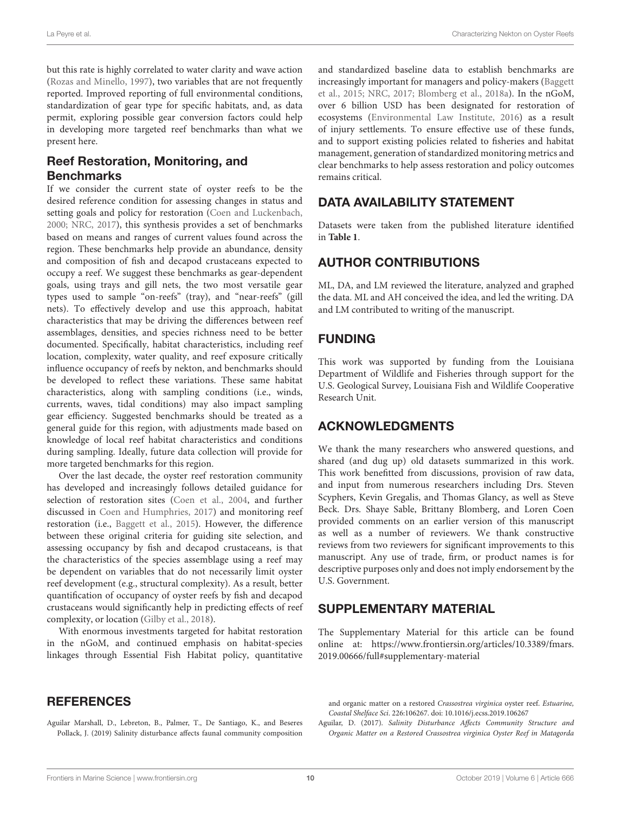<span id="page-10-4"></span>but this rate is highly correlated to water clarity and wave action [\(Rozas and Minello, 1997\)](#page-12-48), two variables that are not frequently reported. Improved reporting of full environmental conditions, standardization of gear type for specific habitats, and, as data permit, exploring possible gear conversion factors could help in developing more targeted reef benchmarks than what we present here.

## Reef Restoration, Monitoring, and Benchmarks

<span id="page-10-3"></span>If we consider the current state of oyster reefs to be the desired reference condition for assessing changes in status and setting goals and policy for restoration [\(Coen and Luckenbach,](#page-11-11) [2000;](#page-11-11) [NRC, 2017\)](#page-12-3), this synthesis provides a set of benchmarks based on means and ranges of current values found across the region. These benchmarks help provide an abundance, density and composition of fish and decapod crustaceans expected to occupy a reef. We suggest these benchmarks as gear-dependent goals, using trays and gill nets, the two most versatile gear types used to sample "on-reefs" (tray), and "near-reefs" (gill nets). To effectively develop and use this approach, habitat characteristics that may be driving the differences between reef assemblages, densities, and species richness need to be better documented. Specifically, habitat characteristics, including reef location, complexity, water quality, and reef exposure critically influence occupancy of reefs by nekton, and benchmarks should be developed to reflect these variations. These same habitat characteristics, along with sampling conditions (i.e., winds, currents, waves, tidal conditions) may also impact sampling gear efficiency. Suggested benchmarks should be treated as a general guide for this region, with adjustments made based on knowledge of local reef habitat characteristics and conditions during sampling. Ideally, future data collection will provide for more targeted benchmarks for this region.

Over the last decade, the oyster reef restoration community has developed and increasingly follows detailed guidance for selection of restoration sites [\(Coen et al., 2004,](#page-11-12) and further discussed in [Coen and Humphries, 2017\)](#page-11-17) and monitoring reef restoration (i.e., [Baggett et al., 2015\)](#page-11-10). However, the difference between these original criteria for guiding site selection, and assessing occupancy by fish and decapod crustaceans, is that the characteristics of the species assemblage using a reef may be dependent on variables that do not necessarily limit oyster reef development (e.g., structural complexity). As a result, better quantification of occupancy of oyster reefs by fish and decapod crustaceans would significantly help in predicting effects of reef complexity, or location [\(Gilby et al., 2018\)](#page-11-46).

With enormous investments targeted for habitat restoration in the nGoM, and continued emphasis on habitat-species linkages through Essential Fish Habitat policy, quantitative

#### **REFERENCES**

<span id="page-10-1"></span>Aguilar Marshall, D., Lebreton, B., Palmer, T., De Santiago, K., and Beseres Pollack, J. (2019) Salinity disturbance affects faunal community composition and standardized baseline data to establish benchmarks are increasingly important for managers and policy-makers (Baggett et al., [2015;](#page-11-10) [NRC, 2017;](#page-12-3) [Blomberg et al., 2018a\)](#page-11-47). In the nGoM, over 6 billion USD has been designated for restoration of ecosystems [\(Environmental Law Institute, 2016\)](#page-11-48) as a result of injury settlements. To ensure effective use of these funds, and to support existing policies related to fisheries and habitat management, generation of standardized monitoring metrics and clear benchmarks to help assess restoration and policy outcomes remains critical.

## DATA AVAILABILITY STATEMENT

Datasets were taken from the published literature identified in **[Table 1](#page-4-0)**.

## AUTHOR CONTRIBUTIONS

ML, DA, and LM reviewed the literature, analyzed and graphed the data. ML and AH conceived the idea, and led the writing. DA and LM contributed to writing of the manuscript.

## FUNDING

This work was supported by funding from the Louisiana Department of Wildlife and Fisheries through support for the U.S. Geological Survey, Louisiana Fish and Wildlife Cooperative Research Unit.

## ACKNOWLEDGMENTS

We thank the many researchers who answered questions, and shared (and dug up) old datasets summarized in this work. This work benefitted from discussions, provision of raw data, and input from numerous researchers including Drs. Steven Scyphers, Kevin Gregalis, and Thomas Glancy, as well as Steve Beck. Drs. Shaye Sable, Brittany Blomberg, and Loren Coen provided comments on an earlier version of this manuscript as well as a number of reviewers. We thank constructive reviews from two reviewers for significant improvements to this manuscript. Any use of trade, firm, or product names is for descriptive purposes only and does not imply endorsement by the U.S. Government.

## SUPPLEMENTARY MATERIAL

<span id="page-10-2"></span>The Supplementary Material for this article can be found [online at: https://www.frontiersin.org/articles/10.3389/fmars.](https://www.frontiersin.org/articles/10.3389/fmars.2019.00666/full#supplementary-material) 2019.00666/full#supplementary-material

and organic matter on a restored Crassostrea virginica oyster reef. Estuarine, Coastal Shelface Sci. 226:106267. doi: [10.1016/j.ecss.2019.106267](https://doi.org/10.1016/j.ecss.2019.106267)

<span id="page-10-0"></span>Aguilar, D. (2017). Salinity Disturbance Affects Community Structure and Organic Matter on a Restored Crassostrea virginica Oyster Reef in Matagorda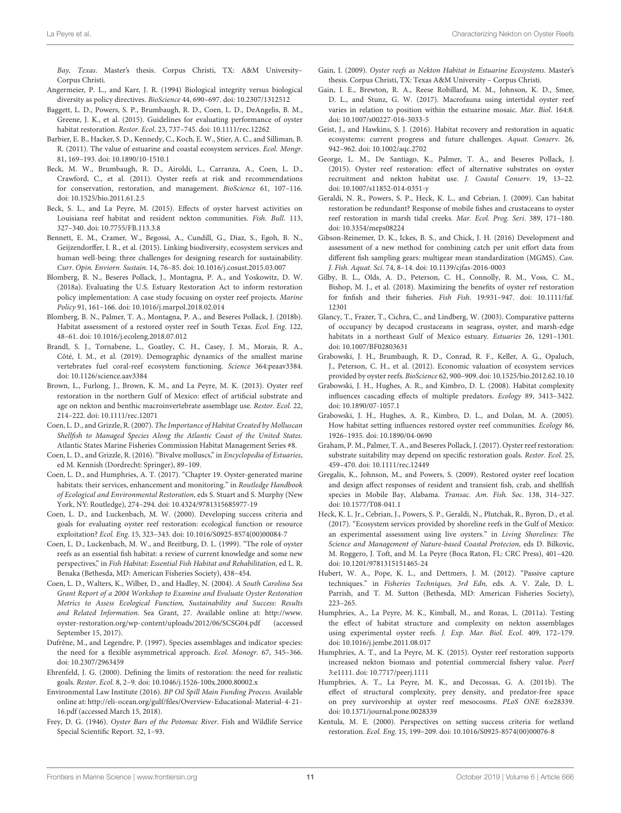Bay, Texas. Master's thesis. Corpus Christi, TX: A&M University– Corpus Christi.

- <span id="page-11-15"></span>Angermeier, P. L., and Karr, J. R. (1994) Biological integrity versus biological diversity as policy directives. BioScience 44, 690–697. doi: [10.2307/1312512](https://doi.org/10.2307/1312512)
- <span id="page-11-10"></span>Baggett, L. D., Powers, S. P., Brumbaugh, R. D., Coen, L. D., DeAngelis, B. M., Greene, J. K., et al. (2015). Guidelines for evaluating performance of oyster habitat restoration. Restor. Ecol. 23, 737–745. doi: [10.1111/rec.12262](https://doi.org/10.1111/rec.12262)
- <span id="page-11-0"></span>Barbier, E. B., Hacker, S. D., Kennedy, C., Koch, E. W., Stier, A. C., and Silliman, B. R. (2011). The value of estuarine and coastal ecosystem services. Ecol. Mongr. 81, 169–193. doi: [10.1890/10-1510.1](https://doi.org/10.1890/10-1510.1)
- <span id="page-11-8"></span>Beck, M. W., Brumbaugh, R. D., Airoldi, L., Carranza, A., Coen, L. D., Crawford, C., et al. (2011). Oyster reefs at risk and recommendations for conservation, restoration, and management. BioScience 61, 107–116. doi: [10.1525/bio.2011.61.2.5](https://doi.org/10.1525/bio.2011.61.2.5)
- <span id="page-11-24"></span>Beck, S. L., and La Peyre, M. (2015). Effects of oyster harvest activities on Louisiana reef habitat and resident nekton communities. Fish. Bull. 113, 327–340. doi: [10.7755/FB.113.3.8](https://doi.org/10.7755/FB.113.3.8)
- <span id="page-11-1"></span>Bennett, E. M., Cramer, W., Begossi, A., Cundill, G., Diaz, S., Egoh, B. N., Geijzendorffer, I. R., et al. (2015). Linking biodiversity, ecosystem services and human well-being: three challenges for designing research for sustainability. Curr. Opin. Enviorn. Sustain. 14, 76–85. doi: [10.1016/j.cosust.2015.03.007](https://doi.org/10.1016/j.cosust.2015.03.007)
- <span id="page-11-47"></span>Blomberg, B. N., Beseres Pollack, J., Montagna, P. A., and Yoskowitz, D. W. (2018a). Evaluating the U.S. Estuary Restoration Act to inform restoration policy implementation: A case study focusing on oyster reef projects. Marine Policy 91, 161–166. doi: [10.1016/j.marpol.2018.02.014](https://doi.org/10.1016/j.marpol.2018.02.014)
- <span id="page-11-27"></span>Blomberg, B. N., Palmer, T. A., Montagna, P. A., and Beseres Pollack, J. (2018b). Habitat assessment of a restored oyster reef in South Texas. Ecol. Eng. 122, 48–61. doi: [10.1016/j.ecoleng.2018.07.012](https://doi.org/10.1016/j.ecoleng.2018.07.012)
- <span id="page-11-43"></span>Brandl, S. J., Tornabene, L., Goatley, C. H., Casey, J. M., Morais, R. A., Côté, I. M., et al. (2019). Demographic dynamics of the smallest marine vertebrates fuel coral-reef ecosystem functioning. Science 364:peaav3384. doi: [10.1126/science.aav3384](https://doi.org/10.1126/science.aav3384)
- <span id="page-11-23"></span>Brown, L., Furlong, J., Brown, K. M., and La Peyre, M. K. (2013). Oyster reef restoration in the northern Gulf of Mexico: effect of artificial substrate and age on nekton and benthic macroinvertebrate assemblage use. Restor. Ecol. 22, 214–222. doi: [10.1111/rec.12071](https://doi.org/10.1111/rec.12071)
- <span id="page-11-3"></span>Coen, L. D., and Grizzle, R. (2007). The Importance of Habitat Created by Molluscan Shellfish to Managed Species Along the Atlantic Coast of the United States. Atlantic States Marine Fisheries Commission Habitat Management Series #8.
- <span id="page-11-7"></span>Coen, L. D., and Grizzle, R. (2016). "Bivalve molluscs," in Encyclopedia of Estuaries, ed M. Kennish (Dordrecht: Springer), 89–109.
- <span id="page-11-17"></span>Coen, L. D., and Humphries, A. T. (2017). "Chapter 19. Oyster-generated marine habitats: their services, enhancement and monitoring." in Routledge Handbook of Ecological and Environmental Restoration, eds S. Stuart and S. Murphy (New York, NY: Routledge), 274–294. doi: [10.4324/9781315685977-19](https://doi.org/10.4324/9781315685977-19)
- <span id="page-11-11"></span>Coen, L. D., and Luckenbach, M. W. (2000). Developing success criteria and goals for evaluating oyster reef restoration: ecological function or resource exploitation? Ecol. Eng. 15, 323–343. doi: [10.1016/S0925-8574\(00\)00084-7](https://doi.org/10.1016/S0925-8574(00)00084-7)
- <span id="page-11-6"></span>Coen, L. D., Luckenbach, M. W., and Breitburg, D. L. (1999). "The role of oyster reefs as an essential fish habitat: a review of current knowledge and some new perspectives," in Fish Habitat: Essential Fish Habitat and Rehabilitation, ed L. R. Benaka (Bethesda, MD: American Fisheries Society), 438–454.
- <span id="page-11-12"></span>Coen, L. D., Walters, K., Wilber, D., and Hadley, N. (2004). A South Carolina Sea Grant Report of a 2004 Workshop to Examine and Evaluate Oyster Restoration Metrics to Assess Ecological Function, Sustainability and Success: Results and Related Information. Sea Grant, 27. Available online at: [http://www.](http://www.oyster-restoration.org/wp-content/uploads/2012/06/SCSG04.pdf) [oyster-restoration.org/wp-content/uploads/2012/06/SCSG04.pdf](http://www.oyster-restoration.org/wp-content/uploads/2012/06/SCSG04.pdf) (accessed September 15, 2017).
- <span id="page-11-2"></span>Dufrêne, M., and Legendre, P. (1997). Species assemblages and indicator species: the need for a flexible asymmetrical approach. Ecol. Monogr. 67, 345–366. doi: [10.2307/2963459](https://doi.org/10.2307/2963459)
- <span id="page-11-13"></span>Ehrenfeld, J. G. (2000). Defining the limits of restoration: the need for realistic goals. Restor. Ecol. 8, 2–9. doi: [10.1046/j.1526-100x.2000.80002.x](https://doi.org/10.1046/j.1526-100x.2000.80002.x)
- <span id="page-11-48"></span>Environmental Law Institute (2016). BP Oil Spill Main Funding Process. Available online at: [http://eli-ocean.org/gulf/files/Overview-Educational-Material-4-21-](http://eli-ocean.org/gulf/files/Overview-Educational-Material-4-21-16.pdf) [16.pdf](http://eli-ocean.org/gulf/files/Overview-Educational-Material-4-21-16.pdf) (accessed March 15, 2018).
- <span id="page-11-5"></span>Frey, D. G. (1946). Oyster Bars of the Potomac River. Fish and Wildlife Service Special Scientific Report. 32, 1–93.
- <span id="page-11-33"></span><span id="page-11-30"></span><span id="page-11-29"></span><span id="page-11-20"></span>Gain, I. (2009). Oyster reefs as Nekton Habitat in Estuarine Ecosystems. Master's thesis. Corpus Christi, TX: Texas A&M University – Corpus Christi.
- <span id="page-11-21"></span>Gain, I. E., Brewton, R. A., Reese Robillard, M. M., Johnson, K. D., Smee, D. L., and Stunz, G. W. (2017). Macrofauna using intertidal oyster reef varies in relation to position within the estuarine mosaic. Mar. Biol. 164:8. doi: [10.1007/s00227-016-3033-5](https://doi.org/10.1007/s00227-016-3033-5)
- <span id="page-11-16"></span>Geist, J., and Hawkins, S. J. (2016). Habitat recovery and restoration in aquatic ecosystems: current progress and future challenges. Aquat. Conserv. 26, 942–962. doi: [10.1002/aqc.2702](https://doi.org/10.1002/aqc.2702)
- <span id="page-11-25"></span>George, L. M., De Santiago, K., Palmer, T. A., and Beseres Pollack, J. (2015). Oyster reef restoration: effect of alternative substrates on oyster recruitment and nekton habitat use. J. Coastal Conserv. 19, 13–22. doi: [10.1007/s11852-014-0351-y](https://doi.org/10.1007/s11852-014-0351-y)
- <span id="page-11-38"></span>Geraldi, N. R., Powers, S. P., Heck, K. L., and Cebrian, J. (2009). Can habitat restoration be redundant? Response of mobile fishes and crustaceans to oyster reef restoration in marsh tidal creeks. Mar. Ecol. Prog. Seri. 389, 171–180. doi: [10.3354/meps08224](https://doi.org/10.3354/meps08224)
- <span id="page-11-45"></span>Gibson-Reinemer, D. K., Ickes, B. S., and Chick, J. H. (2016) Development and assessment of a new method for combining catch per unit effort data from different fish sampling gears: multigear mean standardization (MGMS). Can. J. Fish. Aquat. Sci. 74, 8–14. doi: [10.1139/cjfas-2016-0003](https://doi.org/10.1139/cjfas-2016-0003)
- <span id="page-11-46"></span>Gilby, B. L., Olds, A. D., Peterson, C. H., Connolly, R. M., Voss, C. M., Bishop, M. J., et al. (2018). Maximizing the benefits of oyster ref restoration [for finfish and their fisheries.](https://doi.org/10.1111/faf.12301) Fish Fish. 19:931–947. doi: 10.1111/faf. 12301
- <span id="page-11-37"></span><span id="page-11-36"></span><span id="page-11-35"></span><span id="page-11-34"></span><span id="page-11-32"></span><span id="page-11-31"></span><span id="page-11-28"></span><span id="page-11-18"></span>Glancy, T., Frazer, T., Cichra, C., and Lindberg, W. (2003). Comparative patterns of occupancy by decapod crustaceans in seagrass, oyster, and marsh-edge habitats in a northeast Gulf of Mexico estuary. Estuaries 26, 1291–1301. doi: [10.1007/BF02803631](https://doi.org/10.1007/BF02803631)
- <span id="page-11-4"></span>Grabowski, J. H., Brumbaugh, R. D., Conrad, R. F., Keller, A. G., Opaluch, J., Peterson, C. H., et al. (2012). Economic valuation of ecosystem services provided by oyster reefs. BioScience 62, 900–909. doi[: 10.1525/bio.2012.62.10.10](https://doi.org/10.1525/bio.2012.62.10.10)
- <span id="page-11-40"></span>Grabowski, J. H., Hughes, A. R., and Kimbro, D. L. (2008). Habitat complexity influences cascading effects of multiple predators. Ecology 89, 3413–3422. doi: [10.1890/07-1057.1](https://doi.org/10.1890/07-1057.1)
- <span id="page-11-42"></span>Grabowski, J. H., Hughes, A. R., Kimbro, D. L., and Dolan, M. A. (2005). How habitat setting influences restored oyster reef communities. Ecology 86, 1926–1935. doi: [10.1890/04-0690](https://doi.org/10.1890/04-0690)
- <span id="page-11-26"></span>Graham, P. M., Palmer, T. A., and Beseres Pollack, J. (2017). Oyster reef restoration: substrate suitability may depend on specific restoration goals. Restor. Ecol. 25, 459–470. doi: [10.1111/rec.12449](https://doi.org/10.1111/rec.12449)
- <span id="page-11-19"></span>Gregalis, K., Johnson, M., and Powers, S. (2009). Restored oyster reef location and design affect responses of resident and transient fish, crab, and shellfish species in Mobile Bay, Alabama. Transac. Am. Fish. Soc. 138, 314–327. doi: [10.1577/T08-041.1](https://doi.org/10.1577/T08-041.1)
- <span id="page-11-39"></span>Heck, K. L. Jr., Cebrian, J., Powers, S. P., Geraldi, N., Plutchak, R., Byron, D., et al. (2017). "Ecosystem services provided by shoreline reefs in the Gulf of Mexico: an experimental assessment using live oysters." in Living Shorelines: The Science and Management of Nature-based Coastal Protecion, eds D. Bilkovic, M. Roggero, J. Toft, and M. La Peyre (Boca Raton, FL: CRC Press), 401–420. doi: [10.1201/9781315151465-24](https://doi.org/10.1201/9781315151465-24)
- <span id="page-11-44"></span>Hubert, W. A., Pope, K. L., and Dettmers, J. M. (2012). "Passive capture techniques." in Fisheries Techniques, 3rd Edn, eds. A. V. Zale, D. L. Parrish, and T. M. Sutton (Bethesda, MD: American Fisheries Society), 223–265.
- <span id="page-11-22"></span>Humphries, A., La Peyre, M. K., Kimball, M., and Rozas, L. (2011a). Testing the effect of habitat structure and complexity on nekton assemblages using experimental oyster reefs. J. Exp. Mar. Biol. Ecol. 409, 172–179. doi: [10.1016/j.jembe.2011.08.017](https://doi.org/10.1016/j.jembe.2011.08.017)
- <span id="page-11-9"></span>Humphries, A. T., and La Peyre, M. K. (2015). Oyster reef restoration supports increased nekton biomass and potential commercial fishery value. PeerJ 3:e1111. doi: [10.7717/peerj.1111](https://doi.org/10.7717/peerj.1111)
- <span id="page-11-41"></span>Humphries, A. T., La Peyre, M. K., and Decossas, G. A. (2011b). The effect of structural complexity, prey density, and predator-free space on prey survivorship at oyster reef mesocosms. PLoS ONE 6:e28339. doi: [10.1371/journal.pone.0028339](https://doi.org/10.1371/journal.pone.0028339)
- <span id="page-11-14"></span>Kentula, M. E. (2000). Perspectives on setting success criteria for wetland restoration. Ecol. Eng. 15, 199–209. doi: [10.1016/S0925-8574\(00\)00076-8](https://doi.org/10.1016/S0925-8574(00)00076-8)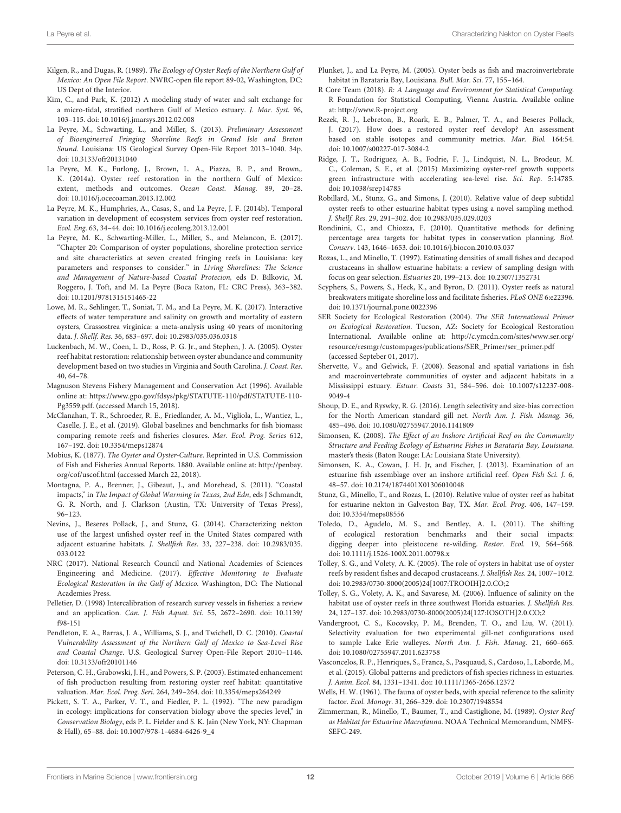- <span id="page-12-14"></span>Kilgen, R., and Dugas, R. (1989). The Ecology of Oyster Reefs of the Northern Gulf of Mexico: An Open File Report. NWRC-open file report 89-02, Washington, DC: US Dept of the Interior.
- <span id="page-12-15"></span>Kim, C., and Park, K. (2012) A modeling study of water and salt exchange for a micro-tidal, stratified northern Gulf of Mexico estuary. J. Mar. Syst. 96, 103–115. doi: [10.1016/j.jmarsys.2012.02.008](https://doi.org/10.1016/j.jmarsys.2012.02.008)
- <span id="page-12-30"></span>La Peyre, M., Schwarting, L., and Miller, S. (2013). Preliminary Assessment of Bioengineered Fringing Shoreline Reefs in Grand Isle and Breton Sound. Louisiana: US Geological Survey Open-File Report 2013–1040. 34p. doi: [10.3133/ofr20131040](https://doi.org/10.3133/ofr20131040)
- <span id="page-12-7"></span>La Peyre, M. K., Furlong, J., Brown, L. A., Piazza, B. P., and Brown,. K. (2014a). Oyster reef restoration in the northern Gulf of Mexico: extent, methods and outcomes. Ocean Coast. Manag. 89, 20–28. doi: [10.1016/j.ocecoaman.2013.12.002](https://doi.org/10.1016/j.ocecoaman.2013.12.002)
- <span id="page-12-32"></span>La Peyre, M. K., Humphries, A., Casas, S., and La Peyre, J. F. (2014b). Temporal variation in development of ecosystem services from oyster reef restoration. Ecol. Eng. 63, 34–44. doi: [10.1016/j.ecoleng.2013.12.001](https://doi.org/10.1016/j.ecoleng.2013.12.001)
- <span id="page-12-18"></span>La Peyre, M. K., Schwarting-Miller, L., Miller, S., and Melancon, E. (2017). "Chapter 20: Comparison of oyster populations, shoreline protection service and site characteristics at seven created fringing reefs in Louisiana: key parameters and responses to consider." in Living Shorelines: The Science and Management of Nature-based Coastal Protecion, eds D. Bilkovic, M. Roggero, J. Toft, and M. La Peyre (Boca Raton, FL: CRC Press), 363–382. doi: [10.1201/9781315151465-22](https://doi.org/10.1201/9781315151465-22)
- <span id="page-12-42"></span><span id="page-12-17"></span>Lowe, M. R., Sehlinger, T., Soniat, T. M., and La Peyre, M. K. (2017). Interactive effects of water temperature and salinity on growth and mortality of eastern oysters, Crassostrea virginica: a meta-analysis using 40 years of monitoring data. J. Shellf. Res. 36, 683–697. doi: [10.2983/035.036.0318](https://doi.org/10.2983/035.036.0318)
- <span id="page-12-49"></span>Luckenbach, M. W., Coen, L. D., Ross, P. G. Jr., and Stephen, J. A. (2005). Oyster reef habitat restoration: relationship between oyster abundance and community development based on two studies in Virginia and South Carolina. J. Coast. Res. 40, 64–78.
- <span id="page-12-0"></span>Magnuson Stevens Fishery Management and Conservation Act (1996). Available online at: [https://www.gpo.gov/fdsys/pkg/STATUTE-110/pdf/STATUTE-110-](https://www.gpo.gov/fdsys/pkg/STATUTE-110/pdf/STATUTE-110-Pg3559.pdf) [Pg3559.pdf.](https://www.gpo.gov/fdsys/pkg/STATUTE-110/pdf/STATUTE-110-Pg3559.pdf) (accessed March 15, 2018).
- <span id="page-12-9"></span>McClanahan, T. R., Schroeder, R. E., Friedlander, A. M., Vigliola, L., Wantiez, L., Caselle, J. E., et al. (2019). Global baselines and benchmarks for fish biomass: comparing remote reefs and fisheries closures. Mar. Ecol. Prog. Series 612, 167–192. doi: [10.3354/meps12874](https://doi.org/10.3354/meps12874)
- <span id="page-12-4"></span>Mobius, K. (1877). The Oyster and Oyster-Culture. Reprinted in U.S. Commission of Fish and Fisheries Annual Reports. 1880. Available online at: [http://penbay.](http://penbay.org/cof/uscof.html) [org/cof/uscof.html](http://penbay.org/cof/uscof.html) (accessed March 22, 2018).
- <span id="page-12-13"></span>Montagna, P. A., Brenner, J., Gibeaut, J., and Morehead, S. (2011). "Coastal impacts," in The Impact of Global Warming in Texas, 2nd Edn, eds J Schmandt, G. R. North, and J. Clarkson (Austin, TX: University of Texas Press), 96–123.
- <span id="page-12-31"></span>Nevins, J., Beseres Pollack, J., and Stunz, G. (2014). Characterizing nekton use of the largest unfished oyster reef in the United States compared with adjacent estuarine habitats. J. Shellfish Res[. 33, 227–238. doi: 10.2983/035.](https://doi.org/10.2983/035.033.0122) 033.0122
- <span id="page-12-3"></span>NRC (2017). National Research Council and National Academies of Sciences Engineering and Medicine. (2017). Effective Monitoring to Evaluate Ecological Restoration in the Gulf of Mexico. Washington, DC: The National Academies Press.
- <span id="page-12-52"></span>Pelletier, D. (1998) Intercalibration of research survey vessels in fisheries: a review and an application. Can. J. Fish Aquat. Sci[. 55, 2672–2690. doi: 10.1139/](https://doi.org/10.1139/f98-151) f98-151
- <span id="page-12-12"></span>Pendleton, E. A., Barras, J. A., Williams, S. J., and Twichell, D. C. (2010). Coastal Vulnerability Assessment of the Northern Gulf of Mexico to Sea-Level Rise and Coastal Change. U.S. Geological Survey Open-File Report 2010–1146. doi: [10.3133/ofr20101146](https://doi.org/10.3133/ofr20101146)
- <span id="page-12-6"></span>Peterson, C. H., Grabowski, J. H., and Powers, S. P. (2003). Estimated enhancement of fish production resulting from restoring oyster reef habitat: quantitative valuation. Mar. Ecol. Prog. Seri. 264, 249–264. doi: [10.3354/meps264249](https://doi.org/10.3354/meps264249)
- <span id="page-12-10"></span>Pickett, S. T. A., Parker, V. T., and Fiedler, P. L. (1992). "The new paradigm in ecology: implications for conservation biology above the species level," in Conservation Biology, eds P. L. Fielder and S. K. Jain (New York, NY: Chapman & Hall), 65–88. doi: [10.1007/978-1-4684-6426-9\\_4](https://doi.org/10.1007/978-1-4684-6426-9_4)
- <span id="page-12-45"></span><span id="page-12-41"></span><span id="page-12-35"></span><span id="page-12-21"></span>Plunket, J., and La Peyre, M. (2005). Oyster beds as fish and macroinvertebrate habitat in Barataria Bay, Louisiana. Bull. Mar. Sci. 77, 155–164.
- <span id="page-12-19"></span>R Core Team (2018). R: A Language and Environment for Statistical Computing. R Foundation for Statistical Computing, Vienna Austria. Available online at:<http://www.R-project.org>
- <span id="page-12-33"></span>Rezek, R. J., Lebreton, B., Roark, E. B., Palmer, T. A., and Beseres Pollack, J. (2017). How does a restored oyster reef develop? An assessment based on stable isotopes and community metrics. Mar. Biol. 164:54. doi: [10.1007/s00227-017-3084-2](https://doi.org/10.1007/s00227-017-3084-2)
- <span id="page-12-16"></span>Ridge, J. T., Rodriguez, A. B., Fodrie, F. J., Lindquist, N. L., Brodeur, M. C., Coleman, S. E., et al. (2015) Maximizing oyster-reef growth supports green infrastructure with accelerating sea-level rise. Sci. Rep. 5:14785. doi: [10.1038/srep14785](https://doi.org/10.1038/srep14785)
- <span id="page-12-28"></span>Robillard, M., Stunz, G., and Simons, J. (2010). Relative value of deep subtidal oyster reefs to other estuarine habitat types using a novel sampling method. J. Shellf. Res. 29, 291–302. doi: [10.2983/035.029.0203](https://doi.org/10.2983/035.029.0203)
- <span id="page-12-1"></span>Rondinini, C., and Chiozza, F. (2010). Quantitative methods for defining percentage area targets for habitat types in conservation planning. Biol. Conserv. 143, 1646–1653. doi: [10.1016/j.biocon.2010.03.037](https://doi.org/10.1016/j.biocon.2010.03.037)
- <span id="page-12-48"></span>Rozas, L., and Minello, T. (1997). Estimating densities of small fishes and decapod crustaceans in shallow estuarine habitats: a review of sampling design with focus on gear selection. Estuaries 20, 199–213. doi: [10.2307/1352731](https://doi.org/10.2307/1352731)
- <span id="page-12-29"></span>Scyphers, S., Powers, S., Heck, K., and Byron, D. (2011). Oyster reefs as natural breakwaters mitigate shoreline loss and facilitate fisheries. PLoS ONE 6:e22396. doi: [10.1371/journal.pone.0022396](https://doi.org/10.1371/journal.pone.0022396)
- <span id="page-12-47"></span><span id="page-12-46"></span><span id="page-12-44"></span><span id="page-12-43"></span><span id="page-12-40"></span><span id="page-12-39"></span><span id="page-12-38"></span><span id="page-12-37"></span><span id="page-12-36"></span><span id="page-12-34"></span><span id="page-12-8"></span>SER Society for Ecological Restoration (2004). The SER International Primer on Ecological Restoration. Tucson, AZ: Society for Ecological Restoration International. Available online at: [http://c.ymcdn.com/sites/www.ser.org/](http://c.ymcdn.com/sites/www.ser.org/resource/resmgr/custompages/publications/SER_Primer/ser_primer.pdf) [resource/resmgr/custompages/publications/SER\\_Primer/ser\\_primer.pdf](http://c.ymcdn.com/sites/www.ser.org/resource/resmgr/custompages/publications/SER_Primer/ser_primer.pdf) (accessed Septeber 01, 2017).
- <span id="page-12-24"></span>Shervette, V., and Gelwick, F. (2008). Seasonal and spatial variations in fish and macroinvertebrate communities of oyster and adjacent habitats in a Mississippi estuary. Estuar. Coasts [31, 584–596. doi: 10.1007/s12237-008-](https://doi.org/10.1007/s12237-008-9049-4) 9049-4
- <span id="page-12-51"></span>Shoup, D. E., and Ryswky, R. G. (2016). Length selectivity and size-bias correction for the North American standard gill net. North Am. J. Fish. Manag. 36, 485–496. doi: [10.1080/02755947.2016.1141809](https://doi.org/10.1080/02755947.2016.1141809)
- <span id="page-12-25"></span>Simonsen, K. (2008). The Effect of an Inshore Artificial Reef on the Community Structure and Feeding Ecology of Estuarine Fishes in Barataria Bay, Louisiana. master's thesis (Baton Rouge: LA: Louisiana State University).
- <span id="page-12-26"></span>Simonsen, K. A., Cowan, J. H. Jr, and Fischer, J. (2013). Examination of an estuarine fish assemblage over an inshore artificial reef. Open Fish Sci. J. 6, 48–57. doi: [10.2174/1874401X01306010048](https://doi.org/10.2174/1874401X01306010048)
- <span id="page-12-27"></span>Stunz, G., Minello, T., and Rozas, L. (2010). Relative value of oyster reef as habitat for estuarine nekton in Galveston Bay, TX. Mar. Ecol. Prog. 406, 147–159. doi: [10.3354/meps08556](https://doi.org/10.3354/meps08556)
- <span id="page-12-11"></span>Toledo, D., Agudelo, M. S., and Bentley, A. L. (2011). The shifting of ecological restoration benchmarks and their social impacts: digging deeper into pleistocene re-wilding. Restor. Ecol. 19, 564–568. doi: [10.1111/j.1526-100X.2011.00798.x](https://doi.org/10.1111/j.1526-100X.2011.00798.x)
- <span id="page-12-22"></span>Tolley, S. G., and Volety, A. K. (2005). The role of oysters in habitat use of oyster reefs by resident fishes and decapod crustaceans. J. Shellfish Res. 24, 1007–1012. doi: [10.2983/0730-8000\(2005\)24\[1007:TROOIH\]2.0.CO;2](https://doi.org/10.2983/0730-8000(2005)24[1007:TROOIH]2.0.CO;2)
- <span id="page-12-23"></span>Tolley, S. G., Volety, A. K., and Savarese, M. (2006). Influence of salinity on the habitat use of oyster reefs in three southwest Florida estuaries. J. Shellfish Res. 24, 127–137. doi: [10.2983/0730-8000\(2005\)24\[127:IOSOTH\]2.0.CO;2](https://doi.org/10.2983/0730-8000(2005)24[127:IOSOTH]2.0.CO;2)
- <span id="page-12-50"></span>Vandergroot, C. S., Kocovsky, P. M., Brenden, T. O., and Liu, W. (2011). Selectivity evaluation for two experimental gill-net configurations used to sample Lake Erie walleyes. North Am. J. Fish. Manag. 21, 660–665. doi: [10.1080/02755947.2011.623758](https://doi.org/10.1080/02755947.2011.623758)
- <span id="page-12-2"></span>Vasconcelos, R. P., Henriques, S., Franca, S., Pasquaud, S., Cardoso, I., Laborde, M., et al. (2015). Global patterns and predictors of fish species richness in estuaries. J. Anim. Ecol. 84, 1331–1341. doi: [10.1111/1365-2656.12372](https://doi.org/10.1111/1365-2656.12372)
- <span id="page-12-5"></span>Wells, H. W. (1961). The fauna of oyster beds, with special reference to the salinity factor. Ecol. Monogr. 31, 266–329. doi: [10.2307/1948554](https://doi.org/10.2307/1948554)
- <span id="page-12-20"></span>Zimmerman, R., Minello, T., Baumer, T., and Castiglione, M. (1989). Oyster Reef as Habitat for Estuarine Macrofauna. NOAA Technical Memorandum, NMFS-SEFC-249.